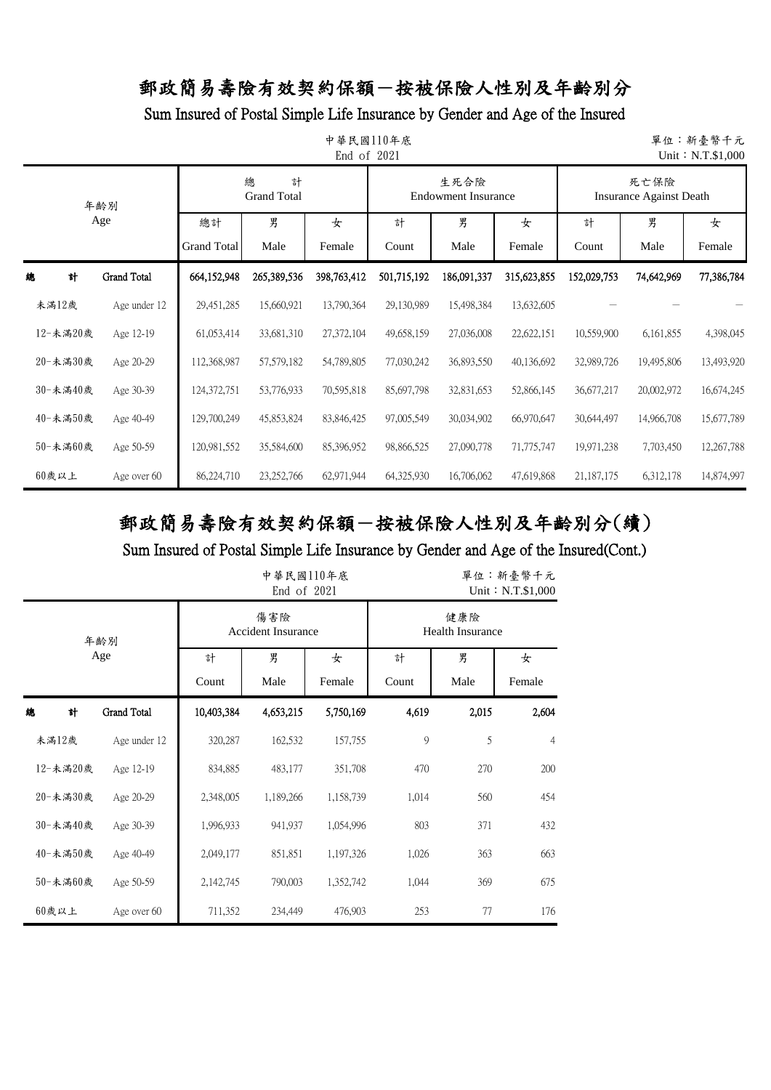Sum Insured of Postal Simple Life Insurance by Gender and Age of the Insured

|          | 中華民國110年底<br>單位:新臺幣千元<br>End of 2021<br>Unit: N.T.\$1,000 |                    |                              |              |             |                                    |             |                                        |            |            |  |  |  |
|----------|-----------------------------------------------------------|--------------------|------------------------------|--------------|-------------|------------------------------------|-------------|----------------------------------------|------------|------------|--|--|--|
|          | 年齢別                                                       |                    | 總<br>計<br><b>Grand Total</b> |              |             | 生死合險<br><b>Endowment Insurance</b> |             | 死亡保險<br><b>Insurance Against Death</b> |            |            |  |  |  |
|          | Age                                                       | 總計                 | 男                            | 女            | 計           | 男                                  | 女           | 計                                      | 男          | 女          |  |  |  |
|          |                                                           | <b>Grand Total</b> | Male                         | Female       | Count       | Male                               | Female      | Count                                  | Male       | Female     |  |  |  |
| 計<br>總   | <b>Grand Total</b>                                        | 664,152,948        | 265,389,536                  | 398.763,412  | 501,715,192 | 186,091,337                        | 315,623,855 | 152,029,753                            | 74,642,969 | 77,386,784 |  |  |  |
| 未滿12歲    | Age under 12                                              | 29,451,285         | 15,660,921                   | 13,790,364   | 29,130,989  | 15,498,384                         | 13,632,605  |                                        |            |            |  |  |  |
| 12-未滿20歲 | Age 12-19                                                 | 61,053,414         | 33,681,310                   | 27,372,104   | 49,658,159  | 27,036,008                         | 22,622,151  | 10,559,900                             | 6,161,855  | 4,398,045  |  |  |  |
| 20-未満30歲 | Age 20-29                                                 | 112,368,987        | 57,579,182                   | 54,789,805   | 77,030,242  | 36,893,550                         | 40,136,692  | 32,989,726                             | 19,495,806 | 13,493,920 |  |  |  |
| 30-未滿40歲 | Age 30-39                                                 | 124,372,751        | 53,776,933                   | 70,595,818   | 85,697,798  | 32,831,653                         | 52,866,145  | 36,677,217                             | 20,002,972 | 16,674,245 |  |  |  |
| 40-未滿50歲 | Age 40-49                                                 | 129,700,249        | 45,853,824                   | 83, 846, 425 | 97,005,549  | 30,034,902                         | 66,970,647  | 30,644,497                             | 14,966,708 | 15,677,789 |  |  |  |
| 50-未滿60歲 | Age 50-59                                                 | 120,981,552        | 35,584,600                   | 85,396,952   | 98,866,525  | 27,090,778                         | 71,775,747  | 19,971,238                             | 7,703,450  | 12,267,788 |  |  |  |
| $60$ 歲以上 | Age over 60                                               | 86,224,710         | 23, 252, 766                 | 62,971,944   | 64,325,930  | 16,706,062                         | 47,619,868  | 21,187,175                             | 6,312,178  | 14,874,997 |  |  |  |

# 郵政簡易壽險有效契約保額-按被保險人性別及年齡別分(續)

|          |              |            | 中華民國110年底<br>End of 2021         | 單位:新臺幣千元<br>Unit: N.T.\$1,000 |                                |       |                |  |
|----------|--------------|------------|----------------------------------|-------------------------------|--------------------------------|-------|----------------|--|
|          | 年齢別          |            | 傷害險<br><b>Accident Insurance</b> |                               | 健康險<br><b>Health Insurance</b> |       |                |  |
|          | Age          | 計          | 男                                | 女                             | 計                              | 男     | 女              |  |
|          |              | Count      | Male                             | Female                        | Count                          | Male  | Female         |  |
| 總<br>計   | Grand Total  | 10,403,384 | 4,653,215                        | 5,750,169                     | 4,619                          | 2,015 | 2,604          |  |
| 未滿12歲    | Age under 12 | 320,287    | 162,532                          | 157,755                       | 9                              | 5     | $\overline{4}$ |  |
| 12-未滿20歲 | Age 12-19    | 834,885    | 483,177                          | 351,708                       | 470                            | 270   | 200            |  |
| 20-未滿30歲 | Age 20-29    | 2,348,005  | 1,189,266                        | 1,158,739                     | 1,014                          | 560   | 454            |  |
| 30-未滿40歲 | Age 30-39    | 1,996,933  | 941,937                          | 1,054,996                     | 803                            | 371   | 432            |  |
| 40-未滿50歲 | Age 40-49    | 2,049,177  | 851,851                          | 1,197,326                     | 1,026                          | 363   | 663            |  |
| 50-未滿60歲 | Age 50-59    | 2,142,745  | 790,003                          | 1,352,742                     | 1,044                          | 369   | 675            |  |
| $60$ 歲以上 | Age over 60  | 711,352    | 234,449                          | 476,903                       | 253                            | 77    | 176            |  |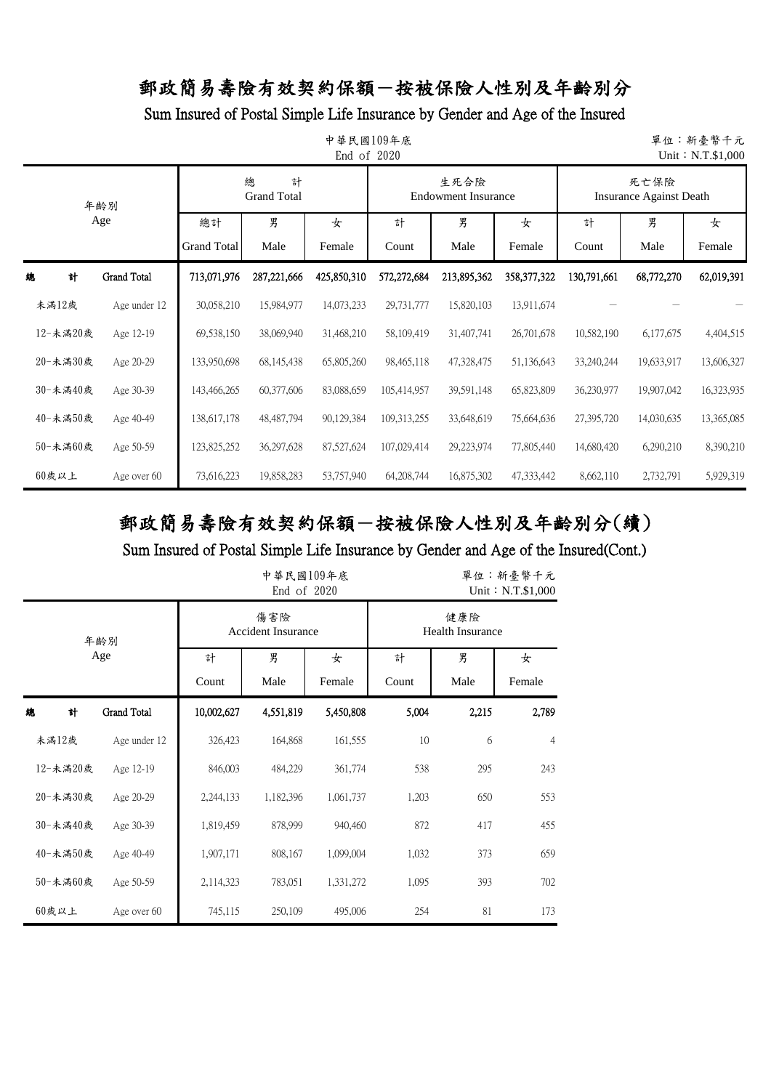Sum Insured of Postal Simple Life Insurance by Gender and Age of the Insured

|          | 中華民國109年底<br>單位:新臺幣千元<br>End of 2020<br>Unit: N.T.\$1,000 |                    |                              |             |               |                                    |             |                                        |            |            |  |  |  |
|----------|-----------------------------------------------------------|--------------------|------------------------------|-------------|---------------|------------------------------------|-------------|----------------------------------------|------------|------------|--|--|--|
|          | 年齢別                                                       |                    | 總<br>計<br><b>Grand Total</b> |             |               | 生死合險<br><b>Endowment Insurance</b> |             | 死亡保險<br><b>Insurance Against Death</b> |            |            |  |  |  |
| Age      |                                                           | 總計                 | 男                            | 女           | 計             | 男                                  | 女           | 計                                      | 男          | 女          |  |  |  |
|          |                                                           | <b>Grand Total</b> | Male                         | Female      | Count         | Male                               | Female      | Count                                  | Male       | Female     |  |  |  |
| 計<br>總   | <b>Grand Total</b>                                        | 713,071,976        | 287,221,666                  | 425,850,310 | 572,272,684   | 213,895,362                        | 358,377,322 | 130,791,661                            | 68,772,270 | 62,019,391 |  |  |  |
| 未滿12歲    | Age under 12                                              | 30,058,210         | 15,984,977                   | 14,073,233  | 29,731,777    | 15,820,103                         | 13,911,674  |                                        |            |            |  |  |  |
| 12-未滿20歲 | Age 12-19                                                 | 69,538,150         | 38,069,940                   | 31,468,210  | 58,109,419    | 31,407,741                         | 26,701,678  | 10,582,190                             | 6,177,675  | 4,404,515  |  |  |  |
| 20-未滿30歲 | Age 20-29                                                 | 133,950,698        | 68, 145, 438                 | 65,805,260  | 98,465,118    | 47,328,475                         | 51,136,643  | 33,240,244                             | 19,633,917 | 13,606,327 |  |  |  |
| 30-未滿40歲 | Age 30-39                                                 | 143,466,265        | 60,377,606                   | 83,088,659  | 105,414,957   | 39,591,148                         | 65,823,809  | 36,230,977                             | 19,907,042 | 16,323,935 |  |  |  |
| 40-未滿50歲 | Age 40-49                                                 | 138,617,178        | 48,487,794                   | 90,129,384  | 109, 313, 255 | 33,648,619                         | 75,664,636  | 27,395,720                             | 14,030,635 | 13,365,085 |  |  |  |
| 50-未滿60歲 | Age 50-59                                                 | 123,825,252        | 36,297,628                   | 87,527,624  | 107,029,414   | 29,223,974                         | 77,805,440  | 14,680,420                             | 6,290,210  | 8,390,210  |  |  |  |
| 60歲以上    | Age over 60                                               | 73,616,223         | 19,858,283                   | 53,757,940  | 64,208,744    | 16,875,302                         | 47,333,442  | 8,662,110                              | 2,732,791  | 5,929,319  |  |  |  |

# 郵政簡易壽險有效契約保額-按被保險人性別及年齡別分(續)

|   |          |                    |            | 中華民國109年底<br>End of 2020  |           | 單位:新臺幣千元<br>Unit: N.T.\$1,000  |       |                |  |
|---|----------|--------------------|------------|---------------------------|-----------|--------------------------------|-------|----------------|--|
|   |          | 年齢別                |            | 傷害險<br>Accident Insurance |           | 健康險<br><b>Health Insurance</b> |       |                |  |
|   |          | Age                | 計          | 男                         | 女         | 計                              | 男     | 女              |  |
|   |          |                    | Count      | Male                      | Female    | Count                          | Male  | Female         |  |
| 總 | 計        | <b>Grand Total</b> | 10,002,627 | 4,551,819                 | 5,450,808 | 5,004                          | 2,215 | 2,789          |  |
|   | 未滿12歲    | Age under 12       | 326,423    | 164,868                   | 161,555   | 10                             | 6     | $\overline{4}$ |  |
|   | 12-未滿20歲 | Age 12-19          | 846,003    | 484,229                   | 361,774   | 538                            | 295   | 243            |  |
|   | 20-未滿30歲 | Age 20-29          | 2,244,133  | 1,182,396                 | 1,061,737 | 1,203                          | 650   | 553            |  |
|   | 30-未滿40歲 | Age 30-39          | 1,819,459  | 878,999                   | 940,460   | 872                            | 417   | 455            |  |
|   | 40-未滿50歲 | Age 40-49          | 1,907,171  | 808,167                   | 1,099,004 | 1,032                          | 373   | 659            |  |
|   | 50-未滿60歲 | Age 50-59          | 2,114,323  | 783,051                   | 1,331,272 | 1,095                          | 393   | 702            |  |
|   | $60$ 歲以上 | Age over 60        | 745,115    | 250,109                   | 495,006   | 254                            | 81    | 173            |  |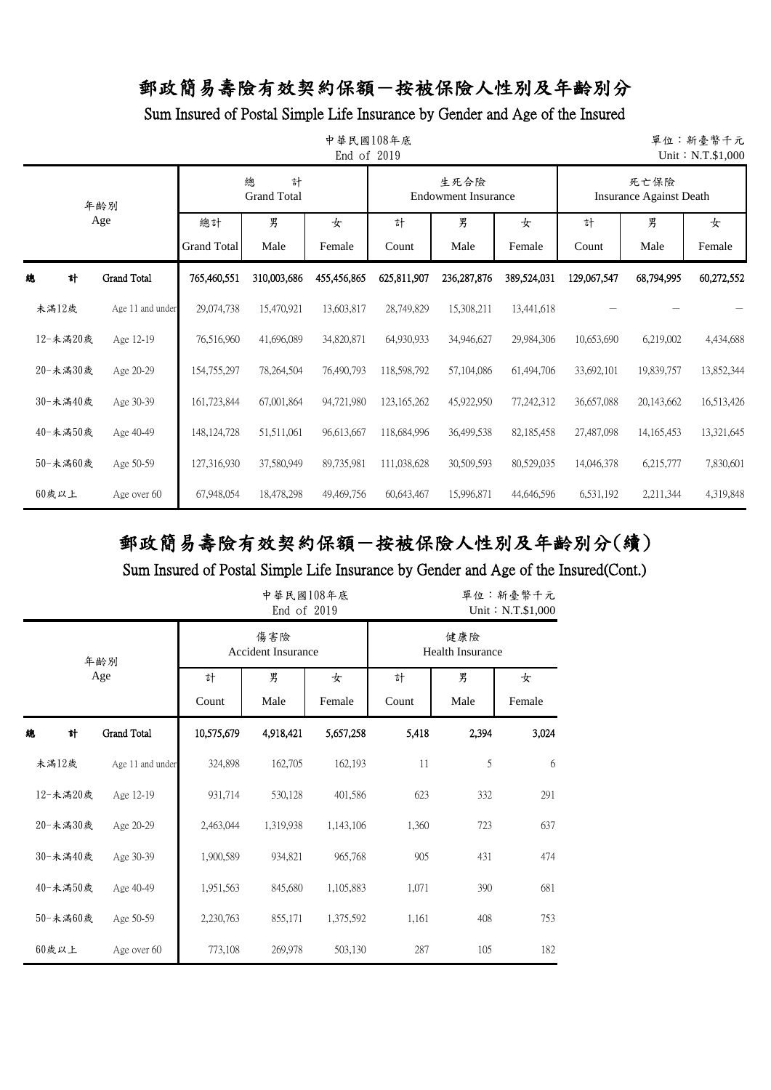### Sum Insured of Postal Simple Life Insurance by Gender and Age of the Insured

|            | 中華民國108年底<br>單位:新臺幣千元<br>End of 2019<br>Unit: N.T.\$1,000 |                              |             |             |               |                                    |             |                                        |              |             |  |  |  |  |
|------------|-----------------------------------------------------------|------------------------------|-------------|-------------|---------------|------------------------------------|-------------|----------------------------------------|--------------|-------------|--|--|--|--|
| 年齢別<br>Age |                                                           | 總<br>計<br><b>Grand Total</b> |             |             |               | 生死合險<br><b>Endowment Insurance</b> |             | 死亡保險<br><b>Insurance Against Death</b> |              |             |  |  |  |  |
|            |                                                           | 總計<br><b>Grand Total</b>     | 男<br>Male   | 女<br>Female | 計<br>Count    | 男<br>Male                          | 女<br>Female | 計<br>Count                             | 男<br>Male    | 女<br>Female |  |  |  |  |
| 計<br>緿     | Grand Total                                               | 765,460,551                  | 310,003,686 | 455,456,865 | 625,811,907   | 236, 287, 876                      | 389,524,031 | 129,067,547                            | 68,794,995   | 60,272,552  |  |  |  |  |
| 未滿12歲      | Age 11 and under                                          | 29,074,738                   | 15,470,921  | 13,603,817  | 28,749,829    | 15,308,211                         | 13,441,618  |                                        |              |             |  |  |  |  |
| 12-未滿20歲   | Age 12-19                                                 | 76,516,960                   | 41,696,089  | 34,820,871  | 64,930,933    | 34,946,627                         | 29,984,306  | 10,653,690                             | 6,219,002    | 4,434,688   |  |  |  |  |
| 20-未満30歲   | Age 20-29                                                 | 154,755,297                  | 78,264,504  | 76,490,793  | 118,598,792   | 57,104,086                         | 61,494,706  | 33,692,101                             | 19,839,757   | 13,852,344  |  |  |  |  |
| 30-未滿40歲   | Age 30-39                                                 | 161,723,844                  | 67,001,864  | 94,721,980  | 123, 165, 262 | 45,922,950                         | 77,242,312  | 36,657,088                             | 20,143,662   | 16,513,426  |  |  |  |  |
| 40-未滿50歲   | Age 40-49                                                 | 148, 124, 728                | 51,511,061  | 96,613,667  | 118,684,996   | 36,499,538                         | 82,185,458  | 27,487,098                             | 14, 165, 453 | 13,321,645  |  |  |  |  |
| 50-未満60歲   | Age 50-59                                                 | 127,316,930                  | 37,580,949  | 89,735,981  | 111,038,628   | 30,509,593                         | 80,529,035  | 14,046,378                             | 6,215,777    | 7,830,601   |  |  |  |  |
| $60$ 歲以上   | Age over 60                                               | 67,948,054                   | 18,478,298  | 49,469,756  | 60,643,467    | 15,996,871                         | 44,646,596  | 6,531,192                              | 2,211,344    | 4,319,848   |  |  |  |  |

# 郵政簡易壽險有效契約保額-按被保險人性別及年齡別分(續)

|          |                  |            | 中華民國108年底<br>End of 2019         |             |            | 單位:新臺幣千元<br>Unit: N.T.\$1,000  |             |  |  |
|----------|------------------|------------|----------------------------------|-------------|------------|--------------------------------|-------------|--|--|
|          | 年齢別              |            | 傷害險<br><b>Accident Insurance</b> |             |            | 健康險<br><b>Health Insurance</b> |             |  |  |
|          | Age              | 計<br>Count | 男<br>Male                        | 女<br>Female | 計<br>Count | 男<br>Male                      | 女<br>Female |  |  |
| 總<br>計   | Grand Total      | 10,575,679 | 4,918,421                        | 5,657,258   | 5,418      | 2,394                          | 3,024       |  |  |
| 未滿12歲    | Age 11 and under | 324,898    | 162,705                          | 162,193     | 11         | 5                              | 6           |  |  |
| 12-未滿20歲 | Age 12-19        | 931,714    | 530,128                          | 401,586     | 623        | 332                            | 291         |  |  |
| 20-未滿30歲 | Age 20-29        | 2,463,044  | 1,319,938                        | 1,143,106   | 1,360      | 723                            | 637         |  |  |
| 30-未滿40歲 | Age 30-39        | 1,900,589  | 934,821                          | 965,768     | 905        | 431                            | 474         |  |  |
| 40-未満50歳 | Age 40-49        | 1,951,563  | 845,680                          | 1,105,883   | 1,071      | 390                            | 681         |  |  |
| 50-未滿60歲 | Age 50-59        | 2,230,763  | 855,171                          | 1,375,592   | 1,161      | 408                            | 753         |  |  |
| $60$ 歲以上 | Age over 60      | 773,108    | 269,978                          | 503,130     | 287        | 105                            | 182         |  |  |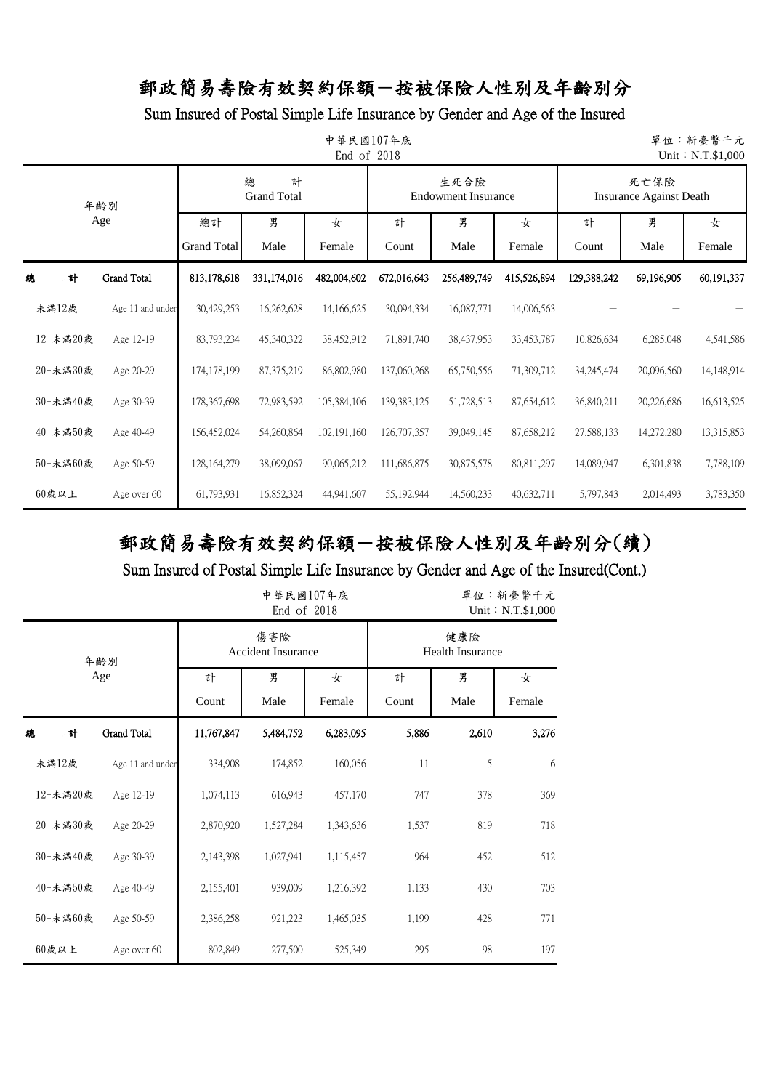#### Sum Insured of Postal Simple Life Insurance by Gender and Age of the Insured

|     | 中華民國107年底<br>單位:新臺幣千元<br>End of 2018<br>Unit: N.T.\$1,000 |                          |               |                              |             |             |                                    |             |                                        |             |            |  |  |  |
|-----|-----------------------------------------------------------|--------------------------|---------------|------------------------------|-------------|-------------|------------------------------------|-------------|----------------------------------------|-------------|------------|--|--|--|
|     |                                                           | 年齢別                      |               | 總<br>計<br><b>Grand Total</b> |             |             | 生死合險<br><b>Endowment Insurance</b> |             | 死亡保險<br><b>Insurance Against Death</b> |             |            |  |  |  |
| Age |                                                           | 總計<br><b>Grand Total</b> | 男<br>Male     | 女<br>Female                  | 計<br>Count  | 男<br>Male   | 女<br>Female                        | 計<br>Count  | 男<br>Male                              | 女<br>Female |            |  |  |  |
| 總   | 計                                                         | <b>Grand Total</b>       | 813,178,618   | 331,174,016                  | 482,004,602 | 672,016,643 | 256,489,749                        | 415,526,894 | 129,388,242                            | 69,196,905  | 60,191,337 |  |  |  |
|     | 未滿12歲                                                     | Age 11 and under         | 30,429,253    | 16,262,628                   | 14,166,625  | 30,094,334  | 16,087,771                         | 14,006,563  |                                        |             |            |  |  |  |
|     | 12-未滿20歲                                                  | Age 12-19                | 83,793,234    | 45,340,322                   | 38,452,912  | 71,891,740  | 38,437,953                         | 33,453,787  | 10,826,634                             | 6,285,048   | 4,541,586  |  |  |  |
|     | 20-未滿30歲                                                  | Age 20-29                | 174,178,199   | 87, 375, 219                 | 86,802,980  | 137,060,268 | 65,750,556                         | 71,309,712  | 34,245,474                             | 20,096,560  | 14,148,914 |  |  |  |
|     | 30-未滿40歲                                                  | Age 30-39                | 178,367,698   | 72,983,592                   | 105,384,106 | 139,383,125 | 51,728,513                         | 87,654,612  | 36,840,211                             | 20,226,686  | 16,613,525 |  |  |  |
|     | 40-未滿50歲                                                  | Age 40-49                | 156,452,024   | 54,260,864                   | 102,191,160 | 126,707,357 | 39,049,145                         | 87,658,212  | 27,588,133                             | 14,272,280  | 13,315,853 |  |  |  |
|     | 50-未滿60歲                                                  | Age 50-59                | 128, 164, 279 | 38,099,067                   | 90,065,212  | 111,686,875 | 30,875,578                         | 80,811,297  | 14,089,947                             | 6,301,838   | 7,788,109  |  |  |  |
|     | $60$ 歲以上                                                  | Age over 60              | 61,793,931    | 16,852,324                   | 44,941,607  | 55,192,944  | 14,560,233                         | 40,632,711  | 5,797,843                              | 2,014,493   | 3,783,350  |  |  |  |

# 郵政簡易壽險有效契約保額-按被保險人性別及年齡別分(續)

|          |                  |            | 中華民國107年底<br>End of 2018         |             | 單位:新臺幣千元<br>Unit: N.T.\$1,000  |           |             |  |
|----------|------------------|------------|----------------------------------|-------------|--------------------------------|-----------|-------------|--|
|          | 年齢別              |            | 傷害險<br><b>Accident Insurance</b> |             | 健康險<br><b>Health Insurance</b> |           |             |  |
|          | Age              | 計<br>Count | 男<br>Male                        | 女<br>Female | 計<br>Count                     | 男<br>Male | 女<br>Female |  |
| 總<br>計   | Grand Total      | 11,767,847 | 5,484,752                        | 6,283,095   | 5,886                          | 2,610     | 3,276       |  |
| 未滿12歲    | Age 11 and under | 334,908    | 174,852                          | 160,056     | 11                             | 5         | 6           |  |
| 12-未滿20歲 | Age 12-19        | 1,074,113  | 616,943                          | 457,170     | 747                            | 378       | 369         |  |
| 20-未満30歲 | Age 20-29        | 2,870,920  | 1,527,284                        | 1,343,636   | 1,537                          | 819       | 718         |  |
| 30-未滿40歲 | Age 30-39        | 2,143,398  | 1,027,941                        | 1,115,457   | 964                            | 452       | 512         |  |
| 40-未滿50歲 | Age 40-49        | 2,155,401  | 939,009                          | 1,216,392   | 1,133                          | 430       | 703         |  |
| 50-未滿60歲 | Age 50-59        | 2,386,258  | 921,223                          | 1,465,035   | 1,199                          | 428       | 771         |  |
| 60歲以上    | Age over 60      | 802,849    | 277,500                          | 525,349     | 295                            | 98        | 197         |  |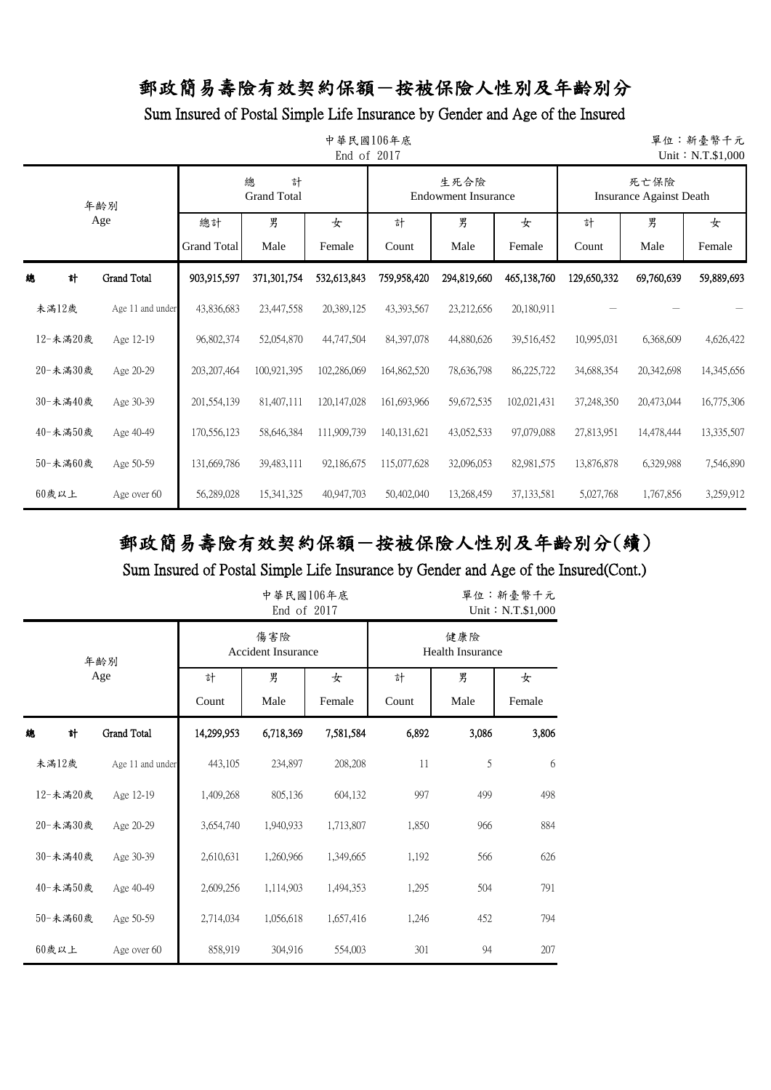### Sum Insured of Postal Simple Life Insurance by Gender and Age of the Insured

|          | 中華民國106年底<br>單位:新臺幣千元<br>End of 2017<br>Unit: N.T.\$1,000 |                          |                              |               |               |                                    |             |                                        |            |             |  |  |  |  |
|----------|-----------------------------------------------------------|--------------------------|------------------------------|---------------|---------------|------------------------------------|-------------|----------------------------------------|------------|-------------|--|--|--|--|
|          | 年齢別                                                       |                          | 總<br>計<br><b>Grand Total</b> |               |               | 生死合險<br><b>Endowment Insurance</b> |             | 死亡保險<br><b>Insurance Against Death</b> |            |             |  |  |  |  |
| Age      |                                                           | 總計<br><b>Grand Total</b> | 男<br>Male                    | 女<br>Female   | 計<br>Count    | 男<br>Male                          | 女<br>Female | 計<br>Count                             | 男<br>Male  | 女<br>Female |  |  |  |  |
| 計<br>緿   | Grand Total                                               | 903,915,597              | 371,301,754                  | 532,613,843   | 759,958,420   | 294,819,660                        | 465,138,760 | 129,650,332                            | 69,760,639 | 59,889,693  |  |  |  |  |
| 未滿12歲    | Age 11 and under                                          | 43,836,683               | 23,447,558                   | 20,389,125    | 43,393,567    | 23,212,656                         | 20,180,911  |                                        |            |             |  |  |  |  |
| 12-未滿20歲 | Age 12-19                                                 | 96,802,374               | 52,054,870                   | 44,747,504    | 84, 397, 078  | 44,880,626                         | 39,516,452  | 10,995,031                             | 6,368,609  | 4,626,422   |  |  |  |  |
| 20-未滿30歲 | Age 20-29                                                 | 203, 207, 464            | 100,921,395                  | 102,286,069   | 164,862,520   | 78,636,798                         | 86,225,722  | 34,688,354                             | 20,342,698 | 14,345,656  |  |  |  |  |
| 30-未滿40歲 | Age 30-39                                                 | 201,554,139              | 81,407,111                   | 120, 147, 028 | 161,693,966   | 59,672,535                         | 102,021,431 | 37,248,350                             | 20,473,044 | 16,775,306  |  |  |  |  |
| 40-未滿50歲 | Age 40-49                                                 | 170,556,123              | 58,646,384                   | 111,909,739   | 140, 131, 621 | 43,052,533                         | 97,079,088  | 27,813,951                             | 14,478,444 | 13,335,507  |  |  |  |  |
| 50-未滿60歲 | Age 50-59                                                 | 131,669,786              | 39,483,111                   | 92,186,675    | 115,077,628   | 32,096,053                         | 82,981,575  | 13,876,878                             | 6,329,988  | 7,546,890   |  |  |  |  |
| $60$ 歲以上 | Age over 60                                               | 56,289,028               | 15,341,325                   | 40,947,703    | 50,402,040    | 13,268,459                         | 37,133,581  | 5,027,768                              | 1,767,856  | 3,259,912   |  |  |  |  |

# 郵政簡易壽險有效契約保額-按被保險人性別及年齡別分(續)

|          |                  |            | 中華民國106年底<br>End of 2017         |             | 單位:新臺幣千元<br>Unit: N.T.\$1,000  |           |             |  |
|----------|------------------|------------|----------------------------------|-------------|--------------------------------|-----------|-------------|--|
|          | 年齢別              |            | 傷害險<br><b>Accident Insurance</b> |             | 健康險<br><b>Health Insurance</b> |           |             |  |
|          | Age              | 計<br>Count | 男<br>Male                        | 女<br>Female | 計<br>Count                     | 男<br>Male | 女<br>Female |  |
| 計<br>總   | Grand Total      | 14,299,953 | 6,718,369                        | 7,581,584   | 6,892                          | 3,086     | 3,806       |  |
| 未滿12歲    | Age 11 and under | 443,105    | 234,897                          | 208,208     | 11                             | 5         | 6           |  |
| 12-未滿20歲 | Age 12-19        | 1,409,268  | 805,136                          | 604,132     | 997                            | 499       | 498         |  |
| 20-未滿30歲 | Age 20-29        | 3,654,740  | 1,940,933                        | 1,713,807   | 1,850                          | 966       | 884         |  |
| 30-未滿40歲 | Age 30-39        | 2,610,631  | 1,260,966                        | 1,349,665   | 1,192                          | 566       | 626         |  |
| 40-未滿50歲 | Age 40-49        | 2,609,256  | 1,114,903                        | 1,494,353   | 1,295                          | 504       | 791         |  |
| 50-未滿60歲 | Age 50-59        | 2,714,034  | 1,056,618                        | 1,657,416   | 1,246                          | 452       | 794         |  |
| $60$ 歲以上 | Age over 60      | 858,919    | 304,916                          | 554,003     | 301                            | 94        | 207         |  |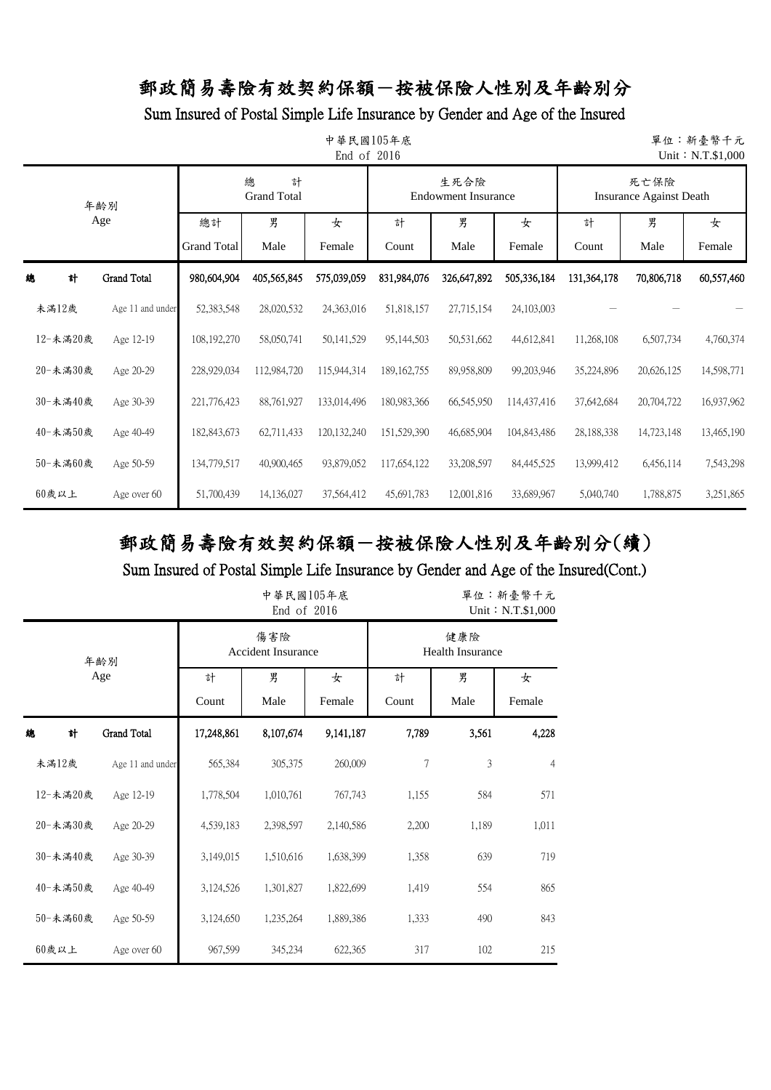Sum Insured of Postal Simple Life Insurance by Gender and Age of the Insured

|            | 中華民國105年底<br>單位:新臺幣千元<br>End of 2016<br>Unit: N.T.\$1,000 |                              |             |               |               |                                    |             |                                        |            |             |  |  |  |  |
|------------|-----------------------------------------------------------|------------------------------|-------------|---------------|---------------|------------------------------------|-------------|----------------------------------------|------------|-------------|--|--|--|--|
| 年齡別<br>Age |                                                           | 總<br>計<br><b>Grand Total</b> |             |               |               | 生死合險<br><b>Endowment Insurance</b> |             | 死亡保險<br><b>Insurance Against Death</b> |            |             |  |  |  |  |
|            |                                                           | 總計<br><b>Grand Total</b>     | 男<br>Male   | 女<br>Female   | 計<br>Count    | 男<br>Male                          | 女<br>Female | 計<br>Count                             | 男<br>Male  | 女<br>Female |  |  |  |  |
| 總<br>計     | <b>Grand Total</b>                                        | 980,604,904                  | 405,565,845 | 575,039,059   | 831,984,076   | 326,647,892                        | 505,336,184 | 131,364,178                            | 70,806,718 | 60,557,460  |  |  |  |  |
| 未滿12歲      | Age 11 and under                                          | 52,383,548                   | 28,020,532  | 24,363,016    | 51,818,157    | 27,715,154                         | 24,103,003  |                                        |            |             |  |  |  |  |
| 12-未滿20歲   | Age 12-19                                                 | 108,192,270                  | 58,050,741  | 50,141,529    | 95,144,503    | 50,531,662                         | 44,612,841  | 11,268,108                             | 6,507,734  | 4,760,374   |  |  |  |  |
| 20-未滿30歲   | Age 20-29                                                 | 228,929,034                  | 112,984,720 | 115,944,314   | 189, 162, 755 | 89,958,809                         | 99,203,946  | 35,224,896                             | 20,626,125 | 14,598,771  |  |  |  |  |
| 30-未滿40歲   | Age 30-39                                                 | 221,776,423                  | 88,761,927  | 133,014,496   | 180,983,366   | 66,545,950                         | 114,437,416 | 37,642,684                             | 20,704,722 | 16,937,962  |  |  |  |  |
| 40-未滿50歲   | Age 40-49                                                 | 182,843,673                  | 62,711,433  | 120, 132, 240 | 151,529,390   | 46,685,904                         | 104,843,486 | 28,188,338                             | 14,723,148 | 13,465,190  |  |  |  |  |
| 50-未満60歲   | Age 50-59                                                 | 134,779,517                  | 40,900,465  | 93,879,052    | 117,654,122   | 33,208,597                         | 84,445,525  | 13,999,412                             | 6,456,114  | 7,543,298   |  |  |  |  |
| 60歲以上      | Age over 60                                               | 51,700,439                   | 14,136,027  | 37,564,412    | 45,691,783    | 12,001,816                         | 33,689,967  | 5,040,740                              | 1,788,875  | 3,251,865   |  |  |  |  |

# 郵政簡易壽險有效契約保額-按被保險人性別及年齡別分(續)

|          |                    |            | 中華民國105年底<br>End of 2016         |             | 單位:新臺幣千元<br>Unit: N.T.\$1,000  |           |                |  |
|----------|--------------------|------------|----------------------------------|-------------|--------------------------------|-----------|----------------|--|
|          | 年齢別                |            | 傷害險<br><b>Accident Insurance</b> |             | 健康險<br><b>Health Insurance</b> |           |                |  |
|          | Age                | 計<br>Count | 男<br>Male                        | 女<br>Female | 計<br>Count                     | 男<br>Male | 女<br>Female    |  |
| 總<br>計   | <b>Grand Total</b> | 17,248,861 | 8,107,674                        | 9,141,187   | 7,789                          | 3,561     | 4,228          |  |
| 未滿12歲    | Age 11 and under   | 565,384    | 305,375                          | 260,009     | 7                              | 3         | $\overline{4}$ |  |
| 12-未滿20歲 | Age 12-19          | 1,778,504  | 1,010,761                        | 767,743     | 1,155                          | 584       | 571            |  |
| 20-未滿30歲 | Age 20-29          | 4,539,183  | 2,398,597                        | 2,140,586   | 2,200                          | 1,189     | 1,011          |  |
| 30-未滿40歲 | Age 30-39          | 3,149,015  | 1,510,616                        | 1,638,399   | 1,358                          | 639       | 719            |  |
| 40-未滿50歲 | Age 40-49          | 3,124,526  | 1,301,827                        | 1,822,699   | 1,419                          | 554       | 865            |  |
| 50-未滿60歲 | Age 50-59          | 3,124,650  | 1,235,264                        | 1,889,386   | 1,333                          | 490       | 843            |  |
| 60歲以上    | Age over 60        | 967,599    | 345,234                          | 622,365     | 317                            | 102       | 215            |  |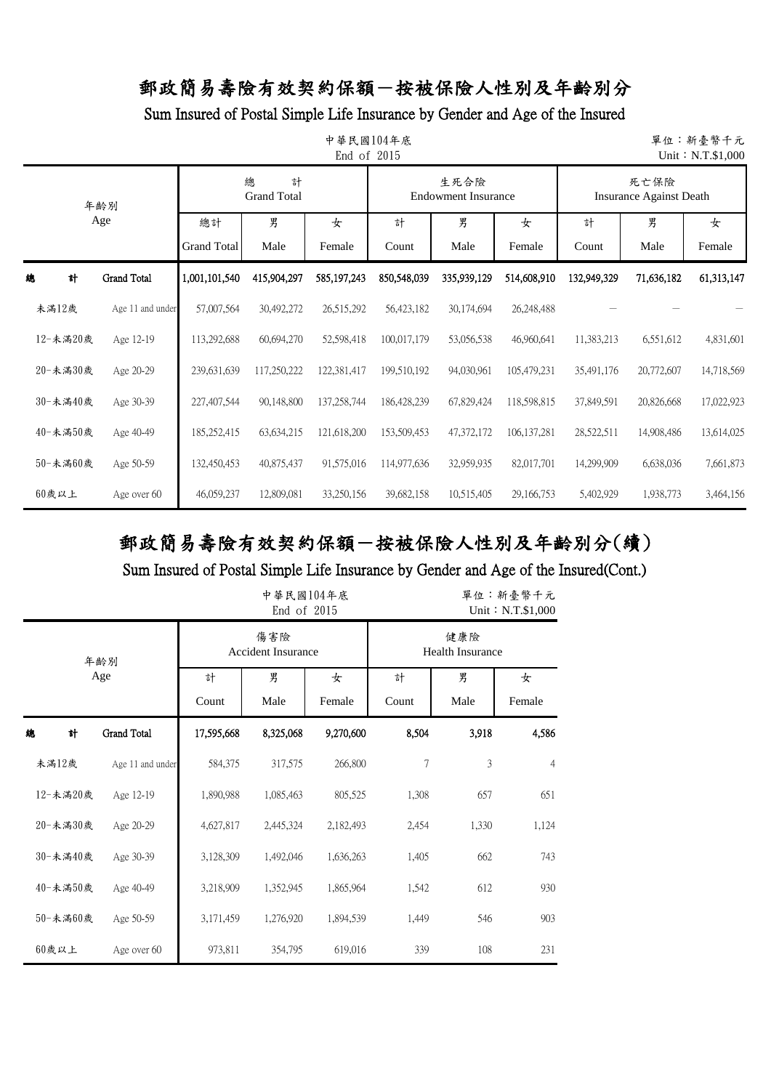Sum Insured of Postal Simple Life Insurance by Gender and Age of the Insured

|          | 中華民國104年底<br>單位:新臺幣千元<br>End of 2015<br>Unit: N.T.\$1,000 |                          |                              |             |             |                                    |               |                                        |            |             |  |  |  |  |
|----------|-----------------------------------------------------------|--------------------------|------------------------------|-------------|-------------|------------------------------------|---------------|----------------------------------------|------------|-------------|--|--|--|--|
|          | 年齢別                                                       |                          | 總<br>計<br><b>Grand Total</b> |             |             | 生死合險<br><b>Endowment Insurance</b> |               | 死亡保險<br><b>Insurance Against Death</b> |            |             |  |  |  |  |
|          | Age                                                       | 總計<br><b>Grand Total</b> | 男<br>Male                    | 女<br>Female | 計<br>Count  | 男<br>Male                          | 女<br>Female   | 男<br>計<br>Count<br>Male                |            | 女<br>Female |  |  |  |  |
| 計<br>總   | Grand Total                                               | 1,001,101,540            | 415,904,297                  | 585,197,243 | 850,548,039 | 335,939,129                        | 514,608,910   | 132,949,329                            | 71,636,182 | 61,313,147  |  |  |  |  |
| 未滿12歲    | Age 11 and under                                          | 57,007,564               | 30,492,272                   | 26,515,292  | 56,423,182  | 30,174,694                         | 26,248,488    |                                        |            |             |  |  |  |  |
| 12-未滿20歲 | Age 12-19                                                 | 113,292,688              | 60,694,270                   | 52,598,418  | 100,017,179 | 53,056,538                         | 46,960,641    | 11,383,213                             | 6,551,612  | 4,831,601   |  |  |  |  |
| 20-未滿30歲 | Age 20-29                                                 | 239,631,639              | 117,250,222                  | 122,381,417 | 199,510,192 | 94,030,961                         | 105,479,231   | 35,491,176                             | 20,772,607 | 14,718,569  |  |  |  |  |
| 30-未滿40歲 | Age 30-39                                                 | 227,407,544              | 90,148,800                   | 137,258,744 | 186,428,239 | 67,829,424                         | 118,598,815   | 37,849,591                             | 20,826,668 | 17,022,923  |  |  |  |  |
| 40-未滿50歲 | Age 40-49                                                 | 185,252,415              | 63, 634, 215                 | 121,618,200 | 153,509,453 | 47,372,172                         | 106, 137, 281 | 28,522,511                             | 14,908,486 | 13,614,025  |  |  |  |  |
| 50-未滿60歲 | Age 50-59                                                 | 132,450,453              | 40,875,437                   | 91,575,016  | 114,977,636 | 32,959,935                         | 82,017,701    | 14,299,909                             | 6,638,036  | 7,661,873   |  |  |  |  |
| $60$ 歲以上 | Age over 60                                               | 46,059,237               | 12,809,081                   | 33,250,156  | 39,682,158  | 10,515,405                         | 29, 166, 753  | 5,402,929                              | 1,938,773  | 3,464,156   |  |  |  |  |

# 郵政簡易壽險有效契約保額-按被保險人性別及年齡別分(續)

|          |                  |            | 中華民國104年底<br>End of 2015         |             | 單位:新臺幣千元<br>Unit: N.T.\$1,000 |                                |                |  |  |
|----------|------------------|------------|----------------------------------|-------------|-------------------------------|--------------------------------|----------------|--|--|
|          | 年齢別              |            | 傷害險<br><b>Accident Insurance</b> |             |                               | 健康險<br><b>Health Insurance</b> |                |  |  |
|          | Age              | 計<br>Count | 男<br>Male                        | 女<br>Female | 計<br>Count                    | 男<br>Male                      | 女<br>Female    |  |  |
| 緿<br>計   | Grand Total      | 17,595,668 | 8,325,068                        | 9,270,600   | 8,504                         | 3,918                          | 4,586          |  |  |
| 未滿12歲    | Age 11 and under | 584,375    | 317,575                          | 266,800     | 7                             | 3                              | $\overline{4}$ |  |  |
| 12-未滿20歲 | Age 12-19        | 1,890,988  | 1,085,463                        | 805,525     | 1,308                         | 657                            | 651            |  |  |
| 20-未滿30歲 | Age 20-29        | 4,627,817  | 2,445,324                        | 2,182,493   | 2,454                         | 1,330                          | 1,124          |  |  |
| 30-未滿40歲 | Age 30-39        | 3,128,309  | 1,492,046                        | 1,636,263   | 1,405                         | 662                            | 743            |  |  |
| 40-未滿50歲 | Age 40-49        | 3,218,909  | 1,352,945                        | 1,865,964   | 1,542                         | 612                            | 930            |  |  |
| 50-未滿60歲 | Age 50-59        | 3,171,459  | 1,276,920                        | 1,894,539   | 1,449                         | 546                            | 903            |  |  |
| 60歲以上    | Age over 60      | 973,811    | 354,795                          | 619,016     | 339                           | 108                            | 231            |  |  |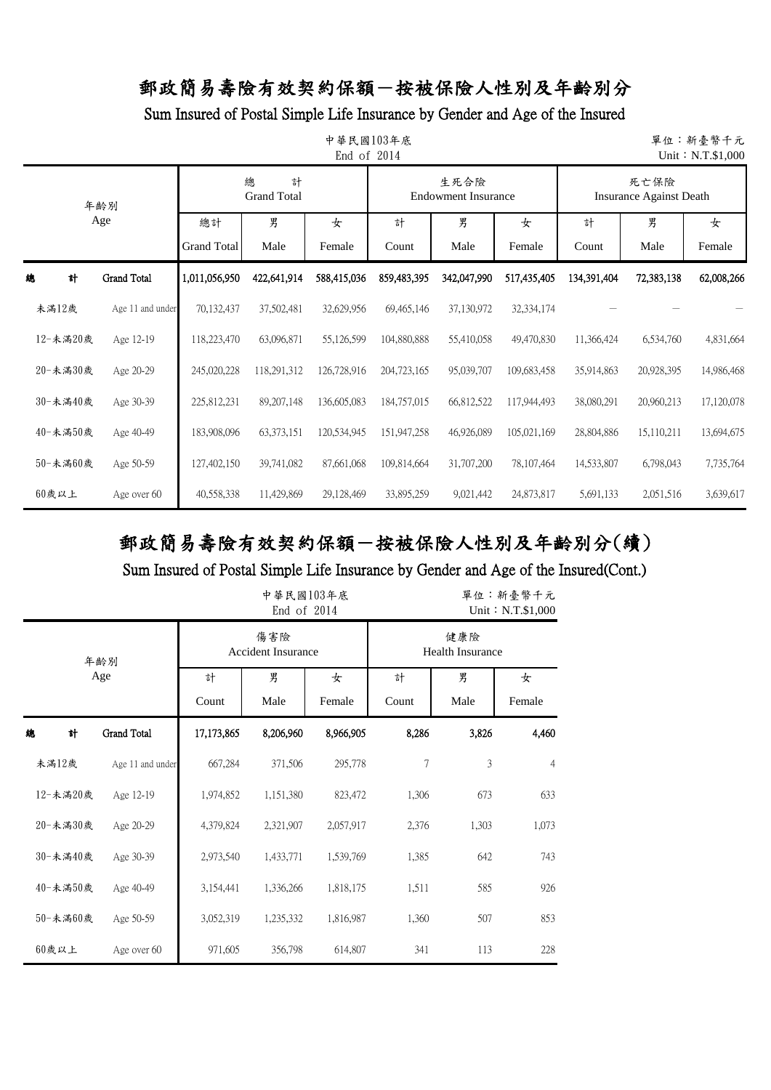Sum Insured of Postal Simple Life Insurance by Gender and Age of the Insured

|          | 中華民國103年底<br>單位:新臺幣千元<br>End of 2014<br>Unit: N.T.\$1,000 |                          |                              |             |             |                                    |             |                                        |            |             |  |  |  |  |
|----------|-----------------------------------------------------------|--------------------------|------------------------------|-------------|-------------|------------------------------------|-------------|----------------------------------------|------------|-------------|--|--|--|--|
|          | 年齡別                                                       |                          | 總<br>計<br><b>Grand Total</b> |             |             | 生死合險<br><b>Endowment Insurance</b> |             | 死亡保險<br><b>Insurance Against Death</b> |            |             |  |  |  |  |
|          | Age                                                       | 總計<br><b>Grand Total</b> | 男<br>Male                    | 女<br>Female | 計<br>Count  | 男<br>Male                          | 女<br>Female | 男<br>計<br>Count<br>Male                |            | 女<br>Female |  |  |  |  |
| 總<br>計   | <b>Grand Total</b>                                        | 1,011,056,950            | 422,641,914                  | 588,415,036 | 859,483,395 | 342,047,990                        | 517,435,405 | 134,391,404                            | 72,383,138 | 62,008,266  |  |  |  |  |
| 未滿12歲    | Age 11 and under                                          | 70,132,437               | 37,502,481                   | 32,629,956  | 69,465,146  | 37,130,972                         | 32,334,174  |                                        |            |             |  |  |  |  |
| 12-未滿20歲 | Age 12-19                                                 | 118,223,470              | 63,096,871                   | 55,126,599  | 104,880,888 | 55,410,058                         | 49,470,830  | 11,366,424                             | 6,534,760  | 4,831,664   |  |  |  |  |
| 20-未滿30歲 | Age 20-29                                                 | 245,020,228              | 118,291,312                  | 126,728,916 | 204,723,165 | 95,039,707                         | 109,683,458 | 35,914,863                             | 20,928,395 | 14,986,468  |  |  |  |  |
| 30-未滿40歲 | Age 30-39                                                 | 225,812,231              | 89, 207, 148                 | 136,605,083 | 184,757,015 | 66,812,522                         | 117,944,493 | 38,080,291                             | 20,960,213 | 17,120,078  |  |  |  |  |
| 40-未滿50歲 | Age 40-49                                                 | 183,908,096              | 63, 373, 151                 | 120,534,945 | 151,947,258 | 46,926,089                         | 105,021,169 | 28,804,886                             | 15,110,211 | 13,694,675  |  |  |  |  |
| 50-未滿60歲 | Age 50-59                                                 | 127,402,150              | 39,741,082                   | 87,661,068  | 109,814,664 | 31,707,200                         | 78,107,464  | 14,533,807                             | 6,798,043  | 7,735,764   |  |  |  |  |
| $60$ 歲以上 | Age over 60                                               | 40,558,338               | 11,429,869                   | 29,128,469  | 33,895,259  | 9,021,442                          | 24,873,817  | 5,691,133                              | 2,051,516  | 3,639,617   |  |  |  |  |

# 郵政簡易壽險有效契約保額-按被保險人性別及年齡別分(續)

|          |                    |            | 中華民國103年底<br>End of 2014         |             | 單位:新臺幣千元<br>Unit: N.T.\$1,000  |       |                |  |  |
|----------|--------------------|------------|----------------------------------|-------------|--------------------------------|-------|----------------|--|--|
|          | 年齢別                |            | 傷害險<br><b>Accident Insurance</b> |             | 健康險<br><b>Health Insurance</b> |       |                |  |  |
|          | Age                | 計<br>Count | 男<br>Male                        | 女<br>Female | 男<br>計<br>Count<br>Male        |       |                |  |  |
| 總<br>計   | <b>Grand Total</b> | 17,173,865 | 8,206,960                        | 8,966,905   | 8,286                          | 3,826 | 4,460          |  |  |
| 未滿12歲    | Age 11 and under   | 667,284    | 371,506                          | 295,778     | 7                              | 3     | $\overline{4}$ |  |  |
| 12-未滿20歲 | Age 12-19          | 1,974,852  | 1,151,380                        | 823,472     | 1,306                          | 673   | 633            |  |  |
| 20-未滿30歲 | Age 20-29          | 4,379,824  | 2,321,907                        | 2,057,917   | 2,376                          | 1,303 | 1,073          |  |  |
| 30-未滿40歲 | Age 30-39          | 2,973,540  | 1,433,771                        | 1,539,769   | 1,385                          | 642   | 743            |  |  |
| 40-未滿50歲 | Age 40-49          | 3,154,441  | 1,336,266                        | 1,818,175   | 1,511                          | 585   | 926            |  |  |
| 50-未滿60歲 | Age 50-59          | 3,052,319  | 1,235,332                        | 1,816,987   | 1,360                          | 507   | 853            |  |  |
| 60歲以上    | Age over 60        | 971,605    | 356,798                          | 614,807     | 341                            | 113   | 228            |  |  |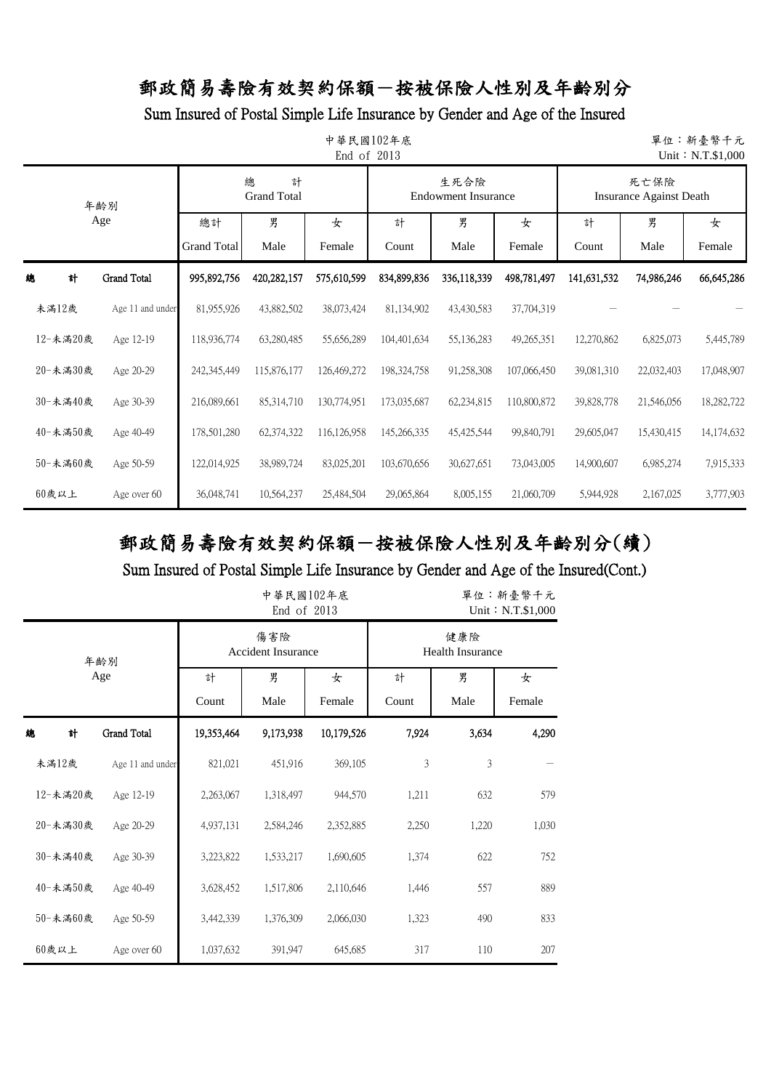### Sum Insured of Postal Simple Life Insurance by Gender and Age of the Insured

|   | 中華民國102年底<br>單位:新臺幣千元<br>End of 2013<br>Unit: N.T.\$1,000 |                  |                                                                    |             |             |             |              |             |             |                                        |            |  |  |
|---|-----------------------------------------------------------|------------------|--------------------------------------------------------------------|-------------|-------------|-------------|--------------|-------------|-------------|----------------------------------------|------------|--|--|
|   |                                                           | 年齢別              | 總<br>計<br>生死合險<br><b>Grand Total</b><br><b>Endowment Insurance</b> |             |             |             |              |             |             | 死亡保險<br><b>Insurance Against Death</b> |            |  |  |
|   |                                                           | Age              | 男<br>總計<br>女<br><b>Grand Total</b><br>Male<br>Female               |             | 計<br>Count  | 男<br>Male   | 女<br>Female  | 計<br>Count  | 男<br>Male   | 女<br>Female                            |            |  |  |
| 總 | 計                                                         | Grand Total      | 995,892,756                                                        | 420,282,157 | 575,610,599 | 834,899,836 | 336,118,339  | 498,781,497 | 141,631,532 | 74,986,246                             | 66,645,286 |  |  |
|   | 未滿12歲                                                     | Age 11 and under | 81,955,926                                                         | 43,882,502  | 38,073,424  | 81,134,902  | 43,430,583   | 37,704,319  |             |                                        |            |  |  |
|   | 12-未滿20歲                                                  | Age 12-19        | 118,936,774                                                        | 63,280,485  | 55,656,289  | 104,401,634 | 55,136,283   | 49,265,351  | 12,270,862  | 6,825,073                              | 5,445,789  |  |  |
|   | 20-未滿30歲                                                  | Age 20-29        | 242,345,449                                                        | 115,876,177 | 126,469,272 | 198,324,758 | 91,258,308   | 107,066,450 | 39,081,310  | 22,032,403                             | 17,048,907 |  |  |
|   | 30-未滿40歲                                                  | Age 30-39        | 216,089,661                                                        | 85,314,710  | 130,774,951 | 173,035,687 | 62,234,815   | 110,800,872 | 39,828,778  | 21,546,056                             | 18,282,722 |  |  |
|   | 40-未満50歲                                                  | Age 40-49        | 178,501,280                                                        | 62,374,322  | 116,126,958 | 145,266,335 | 45, 425, 544 | 99,840,791  | 29,605,047  | 15,430,415                             | 14,174,632 |  |  |
|   | 50-未満60歲                                                  | Age 50-59        | 122,014,925                                                        | 38,989,724  | 83,025,201  | 103,670,656 | 30,627,651   | 73,043,005  | 14,900,607  | 6,985,274                              | 7,915,333  |  |  |
|   | $60$ 歲以上                                                  | Age over 60      | 36,048,741                                                         | 10,564,237  | 25,484,504  | 29,065,864  | 8,005,155    | 21,060,709  | 5,944,928   | 2,167,025                              | 3,777,903  |  |  |

# 郵政簡易壽險有效契約保額-按被保險人性別及年齡別分(續)

|          |                  |                                                                   | 中華民國102年底<br>End of 2013         |            | 單位:新臺幣千元<br>Unit: N.T.\$1,000 |                         |       |  |  |
|----------|------------------|-------------------------------------------------------------------|----------------------------------|------------|-------------------------------|-------------------------|-------|--|--|
|          | 年齢別              |                                                                   | 傷害險<br><b>Accident Insurance</b> |            |                               | 健康險<br>Health Insurance |       |  |  |
|          | Age              | 男<br>男<br>計<br>女<br>計<br>Male<br>Count<br>Female<br>Count<br>Male |                                  |            |                               | 女<br>Female             |       |  |  |
| 計<br>總   | Grand Total      | 19,353,464                                                        | 9,173,938                        | 10,179,526 | 7,924                         | 3,634                   | 4,290 |  |  |
| 未滿12歲    | Age 11 and under | 821,021                                                           | 451,916                          | 369,105    | 3                             | 3                       |       |  |  |
| 12-未滿20歲 | Age 12-19        | 2,263,067                                                         | 1,318,497                        | 944,570    | 1,211                         | 632                     | 579   |  |  |
| 20-未滿30歲 | Age 20-29        | 4,937,131                                                         | 2,584,246                        | 2,352,885  | 2,250                         | 1,220                   | 1,030 |  |  |
| 30-未滿40歲 | Age 30-39        | 3,223,822                                                         | 1,533,217                        | 1,690,605  | 1,374                         | 622                     | 752   |  |  |
| 40-未満50歳 | Age 40-49        | 3,628,452                                                         | 1,517,806                        | 2,110,646  | 1,446                         | 557                     | 889   |  |  |
| 50-未満60歲 | Age 50-59        | 3,442,339                                                         | 1,376,309                        | 2,066,030  | 1,323                         | 490                     | 833   |  |  |
| $60$ 歲以上 | Age over 60      | 1,037,632                                                         | 391,947                          | 645,685    | 317                           | 110                     | 207   |  |  |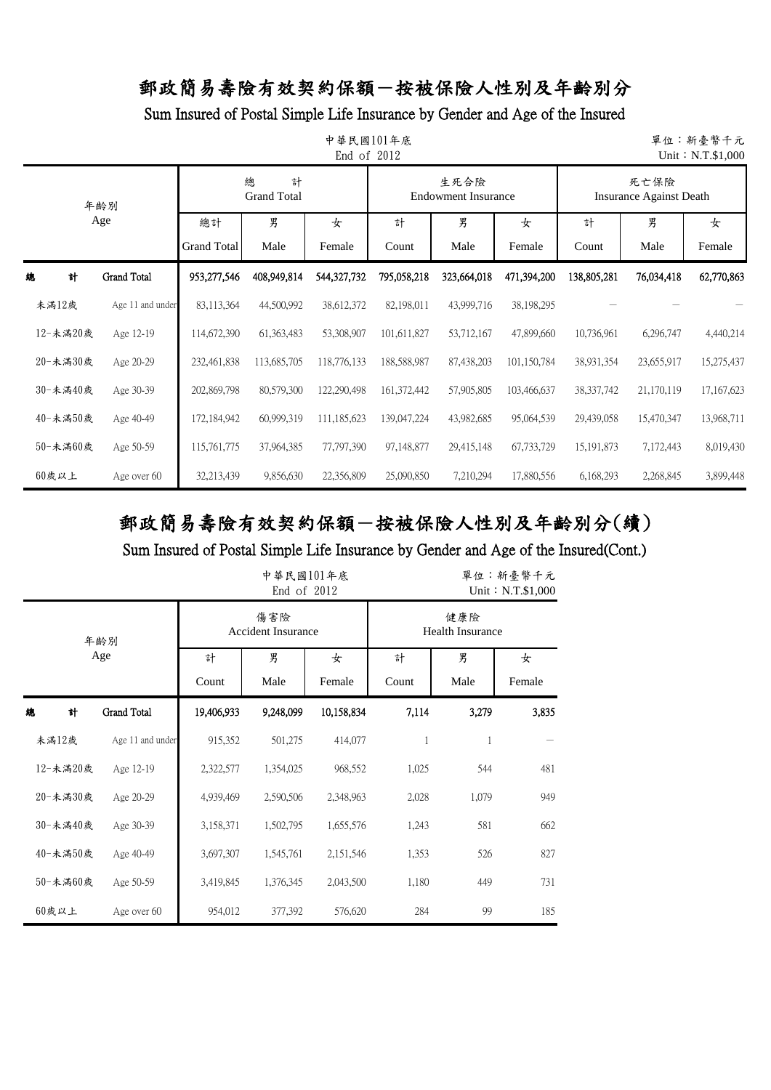Sum Insured of Postal Simple Life Insurance by Gender and Age of the Insured

|          | 中華民國101年底<br>單位:新臺幣千元<br>End of 2012<br>Unit: N.T.\$1,000 |                    |                              |             |             |                                    |             |                                        |            |            |  |  |  |
|----------|-----------------------------------------------------------|--------------------|------------------------------|-------------|-------------|------------------------------------|-------------|----------------------------------------|------------|------------|--|--|--|
|          | 年齢別                                                       |                    | 總<br>計<br><b>Grand Total</b> |             |             | 生死合險<br><b>Endowment Insurance</b> |             | 死亡保險<br><b>Insurance Against Death</b> |            |            |  |  |  |
|          | Age                                                       | 總計                 | 男                            | 女           | 計           | 男                                  | 女           | 計                                      | 男          | 女          |  |  |  |
|          |                                                           | <b>Grand Total</b> | Male                         | Female      | Count       | Male                               | Female      | Count                                  | Male       | Female     |  |  |  |
| 計<br>總   | <b>Grand Total</b>                                        | 953,277,546        | 408,949,814                  | 544.327,732 | 795,058,218 | 323,664,018                        | 471,394,200 | 138,805,281                            | 76,034,418 | 62,770,863 |  |  |  |
| 未滿12歲    | Age 11 and under                                          | 83,113,364         | 44,500,992                   | 38,612,372  | 82,198,011  | 43,999,716                         | 38,198,295  |                                        |            |            |  |  |  |
| 12-未滿20歲 | Age 12-19                                                 | 114,672,390        | 61,363,483                   | 53,308,907  | 101,611,827 | 53,712,167                         | 47,899,660  | 10,736,961                             | 6,296,747  | 4,440,214  |  |  |  |
| 20-未満30歲 | Age 20-29                                                 | 232,461,838        | 113,685,705                  | 118,776,133 | 188,588,987 | 87,438,203                         | 101,150,784 | 38,931,354                             | 23,655,917 | 15,275,437 |  |  |  |
| 30-未滿40歲 | Age 30-39                                                 | 202,869,798        | 80,579,300                   | 122,290,498 | 161,372,442 | 57,905,805                         | 103,466,637 | 38, 337, 742                           | 21,170,119 | 17,167,623 |  |  |  |
| 40-未滿50歲 | Age 40-49                                                 | 172,184,942        | 60,999,319                   | 111,185,623 | 139,047,224 | 43,982,685                         | 95,064,539  | 29,439,058                             | 15,470,347 | 13,968,711 |  |  |  |
| 50-未滿60歲 | Age 50-59                                                 | 115,761,775        | 37,964,385                   | 77,797,390  | 97,148,877  | 29,415,148                         | 67,733,729  | 15, 191, 873                           | 7,172,443  | 8,019,430  |  |  |  |
| 60歲以上    | Age over 60                                               | 32,213,439         | 9,856,630                    | 22,356,809  | 25,090,850  | 7,210,294                          | 17,880,556  | 6,168,293                              | 2,268,845  | 3,899,448  |  |  |  |

# 郵政簡易壽險有效契約保額-按被保險人性別及年齡別分(續)

|          |                    |            | 中華民國101年底<br>End of 2012         |            | 單位:新臺幣千元<br>Unit: N.T.\$1,000  |       |        |  |  |
|----------|--------------------|------------|----------------------------------|------------|--------------------------------|-------|--------|--|--|
|          | 年齢別                |            | 傷害險<br><b>Accident Insurance</b> |            | 健康險<br><b>Health Insurance</b> |       |        |  |  |
|          | Age                | 計          | 男                                | 女          | 計                              | 男     | 女      |  |  |
|          |                    | Count      | Male                             | Female     | Count                          | Male  | Female |  |  |
| 總<br>計   | <b>Grand Total</b> | 19,406,933 | 9,248,099                        | 10,158,834 | 7,114                          | 3,279 | 3,835  |  |  |
| 未満12歲    | Age 11 and under   | 915,352    | 501,275                          | 414,077    | 1                              | 1     |        |  |  |
| 12-未滿20歲 | Age 12-19          | 2,322,577  | 1,354,025                        | 968,552    | 1,025                          | 544   | 481    |  |  |
| 20-未滿30歲 | Age 20-29          | 4,939,469  | 2,590,506                        | 2,348,963  | 2,028                          | 1,079 | 949    |  |  |
| 30-未滿40歲 | Age 30-39          | 3,158,371  | 1,502,795                        | 1,655,576  | 1,243                          | 581   | 662    |  |  |
| 40-未滿50歲 | Age 40-49          | 3,697,307  | 1,545,761                        | 2,151,546  | 1,353                          | 526   | 827    |  |  |
| 50-未滿60歲 | Age 50-59          | 3,419,845  | 1,376,345                        | 2,043,500  | 1,180                          | 449   | 731    |  |  |
| $60$ 歲以上 | Age over 60        | 954,012    | 377,392                          | 576,620    | 284                            | 99    | 185    |  |  |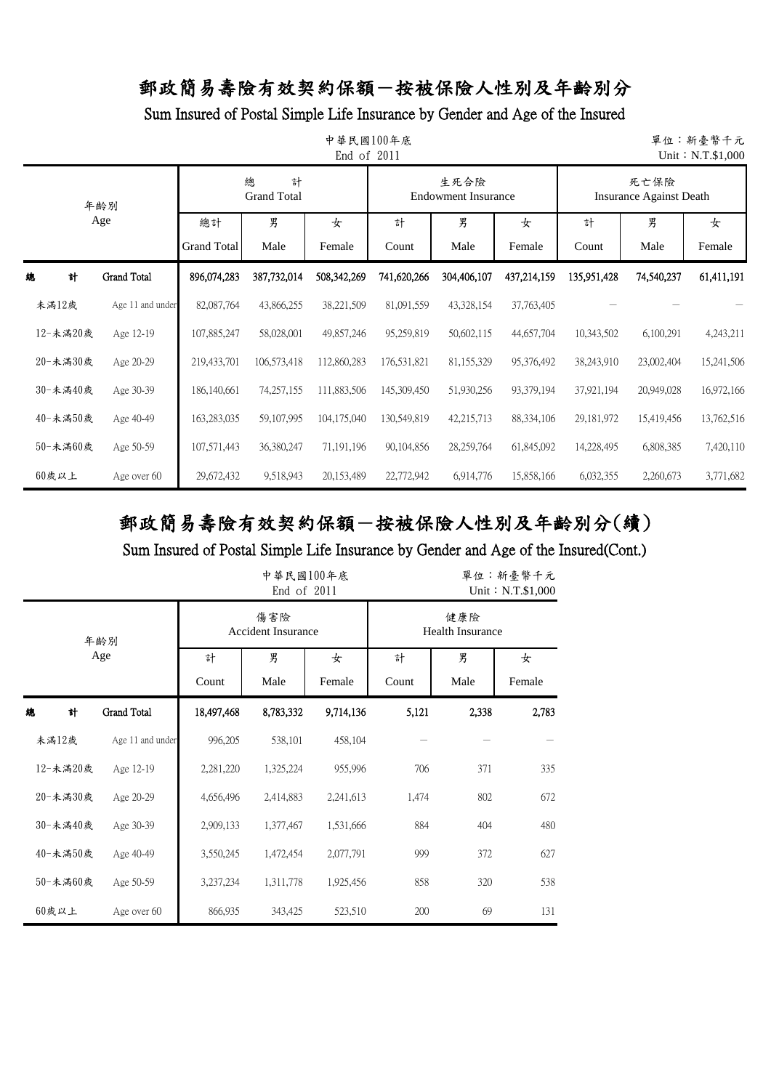Sum Insured of Postal Simple Life Insurance by Gender and Age of the Insured

|     | 中華民國100年底<br>單位:新臺幣千元<br>End of 2011<br>Unit: N.T.\$1,000 |                    |                    |                              |              |             |                                    |              |                                        |            |            |  |  |
|-----|-----------------------------------------------------------|--------------------|--------------------|------------------------------|--------------|-------------|------------------------------------|--------------|----------------------------------------|------------|------------|--|--|
| 年齢別 |                                                           |                    |                    | 總<br>計<br><b>Grand Total</b> |              |             | 生死合險<br><b>Endowment Insurance</b> |              | 死亡保險<br><b>Insurance Against Death</b> |            |            |  |  |
|     |                                                           | Age                | 總計                 | 男                            | 女            | 計           | 男                                  | 女            | 男<br>計                                 |            | 女          |  |  |
|     |                                                           |                    | <b>Grand Total</b> | Male                         | Female       | Count       | Male                               | Female       | Count                                  | Male       | Female     |  |  |
| 總   | 計                                                         | <b>Grand Total</b> | 896,074,283        | 387,732,014                  | 508,342,269  | 741,620,266 | 304,406,107                        | 437,214,159  | 135,951,428                            | 74,540,237 | 61,411,191 |  |  |
|     | 未滿12歲                                                     | Age 11 and under   | 82,087,764         | 43,866,255                   | 38,221,509   | 81,091,559  | 43,328,154                         | 37,763,405   |                                        |            |            |  |  |
|     | 12-未滿20歲                                                  | Age 12-19          | 107,885,247        | 58,028,001                   | 49,857,246   | 95,259,819  | 50,602,115                         | 44,657,704   | 10,343,502                             | 6,100,291  | 4,243,211  |  |  |
|     | 20-未滿30歲                                                  | Age 20-29          | 219,433,701        | 106,573,418                  | 112,860,283  | 176,531,821 | 81,155,329                         | 95,376,492   | 38,243,910                             | 23,002,404 | 15,241,506 |  |  |
|     | 30-未滿40歲                                                  | Age 30-39          | 186,140,661        | 74,257,155                   | 111,883,506  | 145,309,450 | 51,930,256                         | 93,379,194   | 37,921,194                             | 20,949,028 | 16,972,166 |  |  |
|     | 40-未滿50歲                                                  | Age 40-49          | 163,283,035        | 59,107,995                   | 104,175,040  | 130,549,819 | 42,215,713                         | 88, 334, 106 | 29, 181, 972                           | 15,419,456 | 13,762,516 |  |  |
|     | 50-未滿60歲                                                  | Age 50-59          | 107,571,443        | 36,380,247                   | 71, 191, 196 | 90,104,856  | 28,259,764                         | 61,845,092   | 14,228,495                             | 6,808,385  | 7,420,110  |  |  |
|     | $60$ 歲以上                                                  | Age over 60        | 29,672,432         | 9,518,943                    | 20, 153, 489 | 22,772,942  | 6,914,776                          | 15,858,166   | 6,032,355                              | 2,260,673  | 3,771,682  |  |  |

# 郵政簡易壽險有效契約保額-按被保險人性別及年齡別分(續)

|          |                  |            | 中華民國100年底<br>End of $2011$       |           | 單位:新臺幣千元<br>Unit: N.T.\$1,000 |       |        |
|----------|------------------|------------|----------------------------------|-----------|-------------------------------|-------|--------|
|          | 年齢別              |            | 傷害險<br><b>Accident Insurance</b> | 健康險       | <b>Health Insurance</b>       |       |        |
|          | Age              | 計          | 男                                | 女         | 計                             | 男     | 女      |
|          |                  | Count      | Male                             | Female    | Count                         | Male  | Female |
| 總<br>計   | Grand Total      | 18,497,468 | 8,783,332                        | 9,714,136 | 5,121                         | 2,338 | 2,783  |
| 未滿12歲    | Age 11 and under | 996,205    | 538,101                          | 458,104   |                               |       |        |
| 12-未滿20歲 | Age 12-19        | 2,281,220  | 1,325,224                        | 955,996   | 706                           | 371   | 335    |
| 20-未滿30歲 | Age 20-29        | 4,656,496  | 2,414,883                        | 2,241,613 | 1,474                         | 802   | 672    |
| 30-未滿40歲 | Age 30-39        | 2,909,133  | 1,377,467                        | 1,531,666 | 884                           | 404   | 480    |
| 40-未滿50歲 | Age 40-49        | 3,550,245  | 1,472,454                        | 2,077,791 | 999                           | 372   | 627    |
| 50-未滿60歲 | Age 50-59        | 3,237,234  | 1,311,778                        | 1,925,456 | 858                           | 320   | 538    |
| $60$ 歲以上 | Age over 60      | 866,935    | 343,425                          | 523,510   | 200                           | 69    | 131    |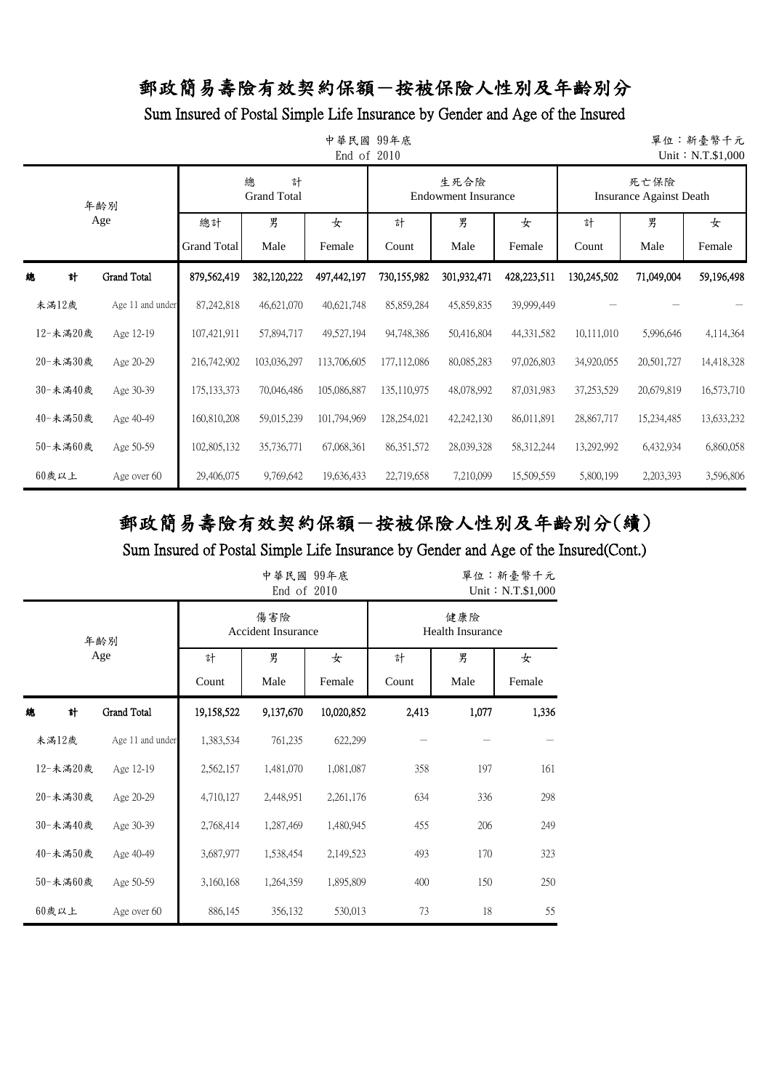Sum Insured of Postal Simple Life Insurance by Gender and Age of the Insured

|   | 中華民國<br>99年底<br>單位:新臺幣千元<br>End of 2010<br>Unit: N.T.\$1,000 |                    |                    |                              |             |              |                                    |             |             |                                        |            |  |  |
|---|--------------------------------------------------------------|--------------------|--------------------|------------------------------|-------------|--------------|------------------------------------|-------------|-------------|----------------------------------------|------------|--|--|
|   |                                                              | 年齡別                |                    | 總<br>計<br><b>Grand Total</b> |             |              | 生死合險<br><b>Endowment Insurance</b> |             |             | 死亡保險<br><b>Insurance Against Death</b> |            |  |  |
|   |                                                              | Age                | 總計                 | 男                            | 女           | 計            | 男                                  | 女           | 計           | 男                                      | 女          |  |  |
|   |                                                              |                    | <b>Grand Total</b> | Male                         | Female      | Count        | Male                               | Female      | Count       | Male                                   | Female     |  |  |
| 總 | 計                                                            | <b>Grand Total</b> | 879,562,419        | 382,120,222                  | 497,442,197 | 730,155,982  | 301,932,471                        | 428,223,511 | 130,245,502 | 71,049,004                             | 59,196,498 |  |  |
|   | 未滿12歲                                                        | Age 11 and under   | 87, 242, 818       | 46,621,070                   | 40,621,748  | 85,859,284   | 45,859,835                         | 39,999,449  |             |                                        |            |  |  |
|   | 12-未滿20歲                                                     | Age 12-19          | 107,421,911        | 57,894,717                   | 49,527,194  | 94,748,386   | 50,416,804                         | 44,331,582  | 10,111,010  | 5,996,646                              | 4,114,364  |  |  |
|   | 20-未滿30歲                                                     | Age 20-29          | 216,742,902        | 103,036,297                  | 113,706,605 | 177,112,086  | 80,085,283                         | 97,026,803  | 34,920,055  | 20,501,727                             | 14,418,328 |  |  |
|   | 30-未滿40歲                                                     | Age 30-39          | 175, 133, 373      | 70,046,486                   | 105,086,887 | 135,110,975  | 48,078,992                         | 87,031,983  | 37,253,529  | 20,679,819                             | 16,573,710 |  |  |
|   | 40-未滿50歲                                                     | Age 40-49          | 160,810,208        | 59,015,239                   | 101,794,969 | 128,254,021  | 42,242,130                         | 86,011,891  | 28,867,717  | 15,234,485                             | 13,633,232 |  |  |
|   | 50-未滿60歲                                                     | Age 50-59          | 102,805,132        | 35,736,771                   | 67,068,361  | 86, 351, 572 | 28,039,328                         | 58,312,244  | 13,292,992  | 6,432,934                              | 6,860,058  |  |  |
|   | $60$ 歲以上                                                     | Age over 60        | 29,406,075         | 9,769,642                    | 19,636,433  | 22,719,658   | 7,210,099                          | 15,509,559  | 5,800,199   | 2,203,393                              | 3,596,806  |  |  |

# 郵政簡易壽險有效契約保額-按被保險人性別及年齡別分(續)

|          |                    |            | 中華民國 99年底<br>End of $2010$       |            | 單位:新臺幣千元<br>Unit: N.T.\$1,000 |                                |        |  |  |
|----------|--------------------|------------|----------------------------------|------------|-------------------------------|--------------------------------|--------|--|--|
|          | 年齢別                |            | 傷害險<br><b>Accident Insurance</b> |            |                               | 健康險<br><b>Health Insurance</b> |        |  |  |
|          | Age                | 計          | 男                                | 女          | 計                             | 男                              | 女      |  |  |
|          |                    | Count      | Male                             | Female     | Count                         | Male                           | Female |  |  |
| 計<br>總   | <b>Grand Total</b> | 19,158,522 | 9,137,670                        | 10,020,852 | 2,413                         | 1,077                          | 1,336  |  |  |
| 未満12歲    | Age 11 and under   | 1,383,534  | 761,235                          | 622,299    |                               |                                |        |  |  |
| 12-未滿20歲 | Age 12-19          | 2,562,157  | 1,481,070                        | 1,081,087  | 358                           | 197                            | 161    |  |  |
| 20-未滿30歲 | Age 20-29          | 4,710,127  | 2,448,951                        | 2,261,176  | 634                           | 336                            | 298    |  |  |
| 30-未滿40歲 | Age 30-39          | 2,768,414  | 1,287,469                        | 1,480,945  | 455                           | 206                            | 249    |  |  |
| 40-未滿50歲 | Age 40-49          | 3,687,977  | 1,538,454                        | 2,149,523  | 493                           | 170                            | 323    |  |  |
| 50-未滿60歲 | Age 50-59          | 3,160,168  | 1,264,359                        | 1,895,809  | 400                           | 150                            | 250    |  |  |
| $60$ 歲以上 | Age over 60        | 886,145    | 356,132                          | 530,013    | 73                            | 18                             | 55     |  |  |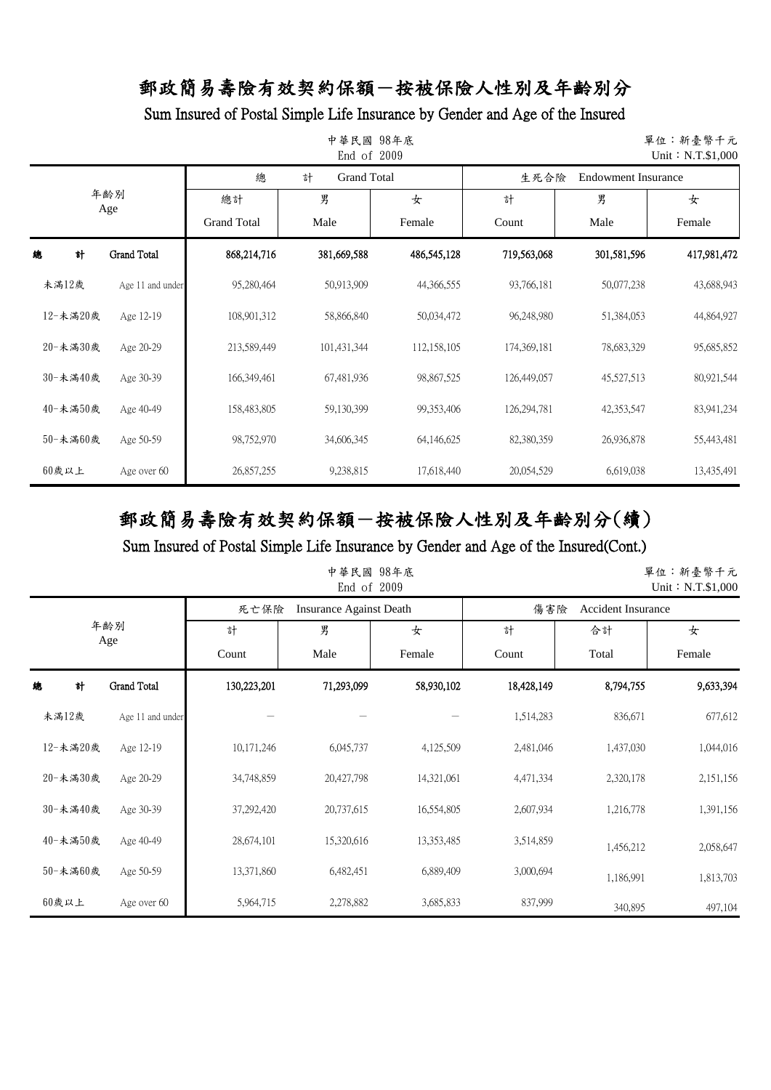Sum Insured of Postal Simple Life Insurance by Gender and Age of the Insured

| 中華民國<br>98年底<br>單位:新臺幣千元<br>2009<br>Unit: N.T.\$1,000<br>End of |                    |                    |                         |             |             |                            |             |  |
|-----------------------------------------------------------------|--------------------|--------------------|-------------------------|-------------|-------------|----------------------------|-------------|--|
|                                                                 |                    | 總                  | <b>Grand Total</b><br>計 |             | 生死合險        | <b>Endowment Insurance</b> |             |  |
| 年齢別<br>Age                                                      |                    | 總計                 | 男                       | 女           | 計           | 男                          | 女           |  |
|                                                                 |                    | <b>Grand Total</b> | Male                    | Female      | Count       | Male                       | Female      |  |
| 計<br>總                                                          | <b>Grand Total</b> | 868,214,716        | 381,669,588             | 486,545,128 | 719,563,068 | 301,581,596                | 417,981,472 |  |
| 未滿12歲                                                           | Age 11 and under   | 95,280,464         | 50,913,909              | 44,366,555  | 93,766,181  | 50,077,238                 | 43,688,943  |  |
| 12-未滿20歲                                                        | Age 12-19          | 108,901,312        | 58,866,840              | 50,034,472  | 96,248,980  | 51,384,053                 | 44,864,927  |  |
| 20-未滿30歲                                                        | Age 20-29          | 213,589,449        | 101,431,344             | 112,158,105 | 174,369,181 | 78,683,329                 | 95,685,852  |  |
| 30-未滿40歲                                                        | Age 30-39          | 166,349,461        | 67,481,936              | 98,867,525  | 126,449,057 | 45,527,513                 | 80,921,544  |  |
| 40-未滿50歲                                                        | Age 40-49          | 158,483,805        | 59,130,399              | 99,353,406  | 126,294,781 | 42,353,547                 | 83,941,234  |  |
| 50-未滿60歲                                                        | Age 50-59          | 98,752,970         | 34,606,345              | 64,146,625  | 82,380,359  | 26,936,878                 | 55,443,481  |  |
| $60$ 歲以上                                                        | Age over 60        | 26,857,255         | 9,238,815               | 17,618,440  | 20,054,529  | 6,619,038                  | 13,435,491  |  |

# 郵政簡易壽險有效契約保額-按被保險人性別及年齡別分(續)

| 中華民國 98年底<br>單位:新臺幣千元<br>End of 2009<br>Unit: N.T.\$1,000 |                    |             |                                |            |            |                           |           |  |
|-----------------------------------------------------------|--------------------|-------------|--------------------------------|------------|------------|---------------------------|-----------|--|
|                                                           |                    | 死亡保險        | <b>Insurance Against Death</b> |            | 傷害險        | <b>Accident Insurance</b> |           |  |
|                                                           | 年齢別                | 計           | 男                              | 女          | 計          | 合計                        | 女         |  |
| Age                                                       |                    | Count       | Male                           | Female     | Count      | Total                     | Female    |  |
| 計<br>總                                                    | <b>Grand Total</b> | 130,223,201 | 71,293,099                     | 58,930,102 | 18,428,149 | 8,794,755                 | 9,633,394 |  |
| 未滿12歲                                                     | Age 11 and under   |             |                                |            | 1,514,283  | 836,671                   | 677,612   |  |
| 12-未滿20歲                                                  | Age 12-19          | 10,171,246  | 6,045,737                      | 4,125,509  | 2,481,046  | 1,437,030                 | 1,044,016 |  |
| 20-未満30歲                                                  | Age 20-29          | 34,748,859  | 20,427,798                     | 14,321,061 | 4,471,334  | 2,320,178                 | 2,151,156 |  |
| 30-未滿40歲                                                  | Age 30-39          | 37,292,420  | 20,737,615                     | 16,554,805 | 2,607,934  | 1,216,778                 | 1,391,156 |  |
| 40-未満50歲                                                  | Age 40-49          | 28,674,101  | 15,320,616                     | 13,353,485 | 3,514,859  | 1,456,212                 | 2,058,647 |  |
| 50-未滿60歲                                                  | Age 50-59          | 13,371,860  | 6,482,451                      | 6,889,409  | 3,000,694  | 1,186,991                 | 1,813,703 |  |
| 60歲以上                                                     | Age over 60        | 5,964,715   | 2,278,882                      | 3,685,833  | 837,999    | 340,895                   | 497,104   |  |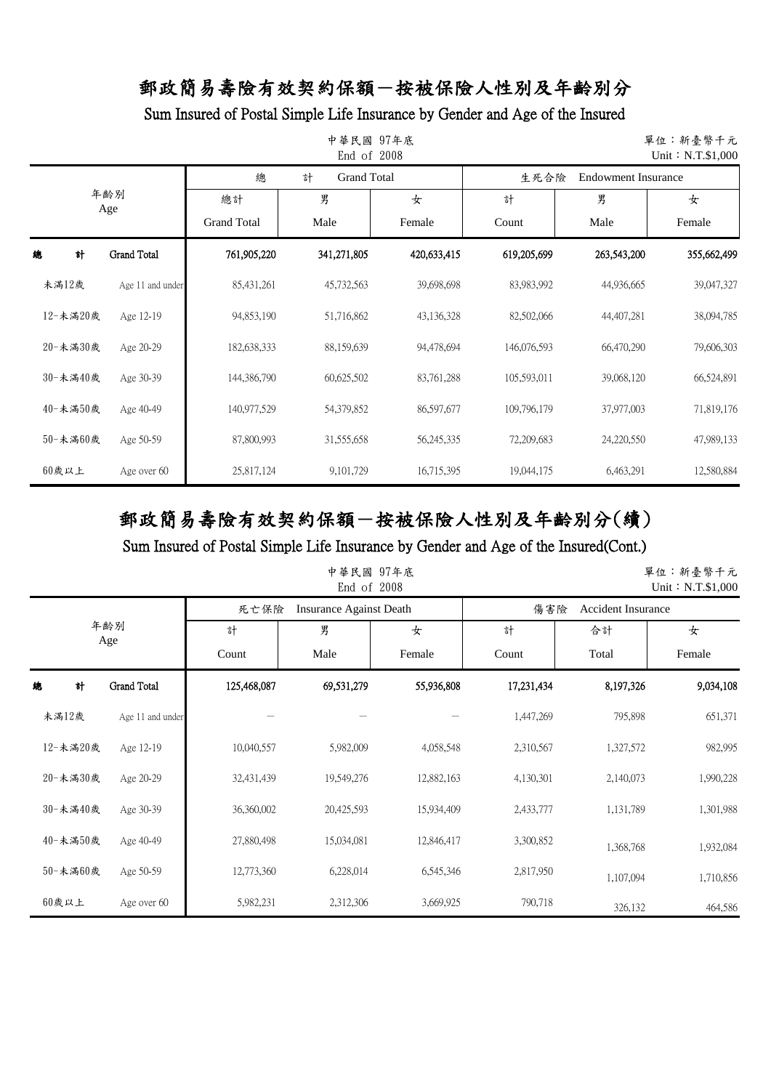Sum Insured of Postal Simple Life Insurance by Gender and Age of the Insured

| 中華民國 97年底<br>單位:新臺幣千元<br>End of 2008<br>Unit: N.T.\$1,000 |                    |                    |                         |              |                                    |             |             |  |
|-----------------------------------------------------------|--------------------|--------------------|-------------------------|--------------|------------------------------------|-------------|-------------|--|
|                                                           |                    | 總                  | 計<br><b>Grand Total</b> |              | <b>Endowment Insurance</b><br>生死合險 |             |             |  |
| 年齢別<br>Age                                                |                    | 總計                 | 男                       | 女            | 計                                  | 男           | 女           |  |
|                                                           |                    | <b>Grand Total</b> | Male                    | Female       | Count                              | Male        | Female      |  |
| 計<br>總                                                    | <b>Grand Total</b> | 761,905,220        | 341,271,805             | 420,633,415  | 619,205,699                        | 263,543,200 | 355,662,499 |  |
| 未満12歲                                                     | Age 11 and under   | 85,431,261         | 45,732,563              | 39,698,698   | 83,983,992                         | 44,936,665  | 39,047,327  |  |
| 12-未滿20歲                                                  | Age 12-19          | 94,853,190         | 51,716,862              | 43,136,328   | 82,502,066                         | 44,407,281  | 38,094,785  |  |
| 20-未滿30歲                                                  | Age 20-29          | 182,638,333        | 88,159,639              | 94,478,694   | 146,076,593                        | 66,470,290  | 79,606,303  |  |
| 30-未滿40歲                                                  | Age 30-39          | 144,386,790        | 60,625,502              | 83,761,288   | 105,593,011                        | 39,068,120  | 66,524,891  |  |
| 40-未滿50歲                                                  | Age 40-49          | 140,977,529        | 54,379,852              | 86,597,677   | 109,796,179                        | 37,977,003  | 71,819,176  |  |
| 50-未滿60歲                                                  | Age 50-59          | 87,800,993         | 31,555,658              | 56, 245, 335 | 72,209,683                         | 24,220,550  | 47,989,133  |  |
| $60$ 歲以上                                                  | Age over 60        | 25,817,124         | 9,101,729               | 16,715,395   | 19,044,175                         | 6,463,291   | 12,580,884  |  |

# 郵政簡易壽險有效契約保額-按被保險人性別及年齡別分(續)

|            |                  |             | 中華民國 97年底<br>End of 2008       |            |            |                           | 單位:新臺幣千元<br>Unit: N.T.\$1,000 |
|------------|------------------|-------------|--------------------------------|------------|------------|---------------------------|-------------------------------|
|            |                  | 死亡保險        | <b>Insurance Against Death</b> |            | 傷害險        | <b>Accident Insurance</b> |                               |
| 年齢別<br>Age |                  | 計           | 男                              | 女          | 計          | 合計                        | 女                             |
|            |                  | Count       | Male                           | Female     | Count      | Total                     | Female                        |
| 總<br>計     | Grand Total      | 125,468,087 | 69,531,279                     | 55,936,808 | 17,231,434 | 8,197,326                 | 9,034,108                     |
| 未滿12歲      | Age 11 and under |             |                                |            | 1,447,269  | 795,898                   | 651,371                       |
| 12-未滿20歲   | Age 12-19        | 10,040,557  | 5,982,009                      | 4,058,548  | 2,310,567  | 1,327,572                 | 982,995                       |
| 20-未滿30歲   | Age 20-29        | 32,431,439  | 19,549,276                     | 12,882,163 | 4,130,301  | 2,140,073                 | 1,990,228                     |
| 30-未滿40歲   | Age 30-39        | 36,360,002  | 20,425,593                     | 15,934,409 | 2,433,777  | 1,131,789                 | 1,301,988                     |
| 40-未満50歲   | Age 40-49        | 27,880,498  | 15,034,081                     | 12,846,417 | 3,300,852  | 1,368,768                 | 1,932,084                     |
| 50-未滿60歲   | Age 50-59        | 12,773,360  | 6,228,014                      | 6,545,346  | 2,817,950  | 1,107,094                 | 1,710,856                     |
| 60歲以上      | Age over 60      | 5,982,231   | 2,312,306                      | 3,669,925  | 790,718    | 326,132                   | 464,586                       |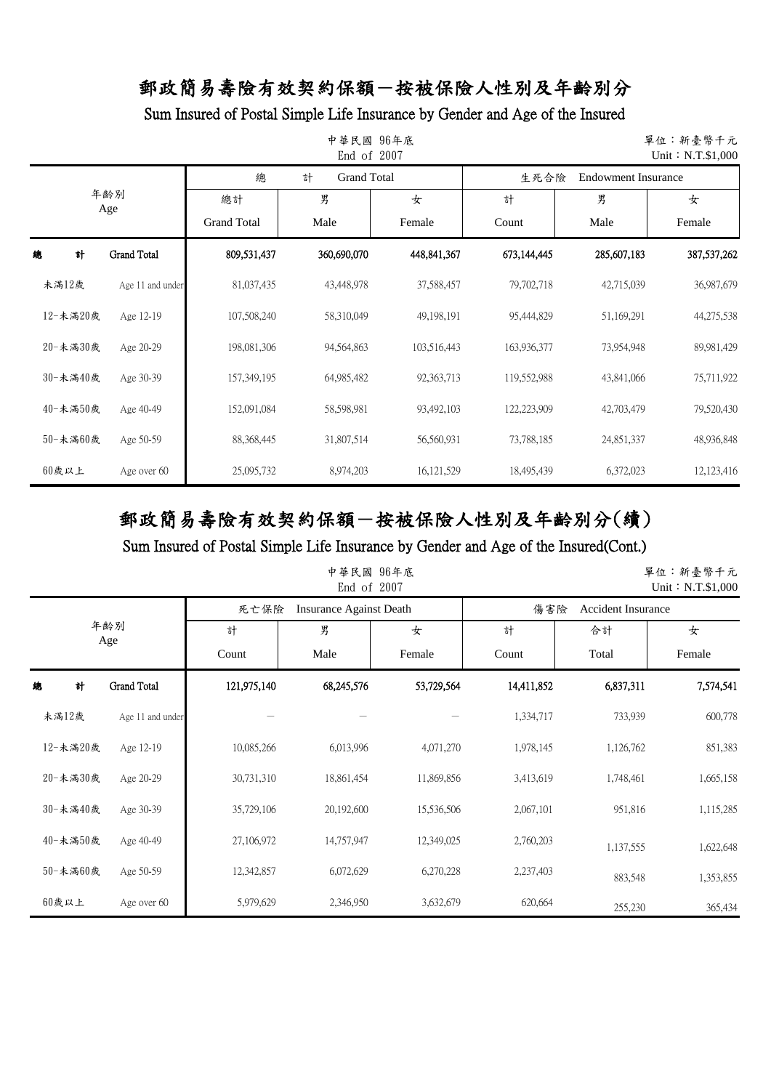### Sum Insured of Postal Simple Life Insurance by Gender and Age of the Insured

| 中華民國 96年底<br>單位:新臺幣千元<br>End of 2007<br>Unit: N.T.\$1,000 |                    |                    |                         |              |             |                     |               |  |
|-----------------------------------------------------------|--------------------|--------------------|-------------------------|--------------|-------------|---------------------|---------------|--|
|                                                           |                    | 總                  | <b>Grand Total</b><br>計 |              | 生死合險        | Endowment Insurance |               |  |
| 年齢別<br>Age                                                |                    | 總計                 | 男                       | 女            | 計           | 男                   | 女             |  |
|                                                           |                    | <b>Grand Total</b> | Male                    | Female       | Count       | Male                | Female        |  |
| 計<br>總                                                    | <b>Grand Total</b> | 809,531,437        | 360,690,070             | 448,841,367  | 673,144,445 | 285,607,183         | 387, 537, 262 |  |
| 未滿12歲                                                     | Age 11 and under   | 81,037,435         | 43,448,978              | 37,588,457   | 79,702,718  | 42,715,039          | 36,987,679    |  |
| 12-未滿20歲                                                  | Age 12-19          | 107,508,240        | 58,310,049              | 49,198,191   | 95,444,829  | 51,169,291          | 44,275,538    |  |
| 20-未滿30歲                                                  | Age 20-29          | 198,081,306        | 94,564,863              | 103,516,443  | 163,936,377 | 73,954,948          | 89,981,429    |  |
| 30-未滿40歲                                                  | Age 30-39          | 157,349,195        | 64,985,482              | 92, 363, 713 | 119,552,988 | 43,841,066          | 75,711,922    |  |
| 40-未滿50歲                                                  | Age 40-49          | 152,091,084        | 58,598,981              | 93,492,103   | 122,223,909 | 42,703,479          | 79,520,430    |  |
| 50-未滿60歲                                                  | Age 50-59          | 88,368,445         | 31,807,514              | 56,560,931   | 73,788,185  | 24,851,337          | 48,936,848    |  |
| $60$ 歲以上                                                  | Age over 60        | 25,095,732         | 8,974,203               | 16, 121, 529 | 18,495,439  | 6,372,023           | 12,123,416    |  |

# 郵政簡易壽險有效契約保額-按被保險人性別及年齡別分(續)

Sum Insured of Postal Simple Life Insurance by Gender and Age of the Insured(Cont.)

|            |                  |             | 中華民國 96年底<br>End of 2007       |            |            |                           | 單位:新臺幣千元<br>Unit: $N.T.$ \$1,000 |
|------------|------------------|-------------|--------------------------------|------------|------------|---------------------------|----------------------------------|
|            |                  | 死亡保險        | <b>Insurance Against Death</b> |            | 傷害險        | <b>Accident Insurance</b> |                                  |
| 年齢別<br>Age |                  | 計           | 男                              | 女          | 計          | 合計                        | 女                                |
|            |                  | Count       | Male                           | Female     | Count      | Total                     | Female                           |
| 計<br>總     | Grand Total      | 121,975,140 | 68,245,576                     | 53,729,564 | 14,411,852 | 6,837,311                 | 7,574,541                        |
| 未滿12歲      | Age 11 and under |             |                                |            | 1,334,717  | 733,939                   | 600,778                          |
| 12-未滿20歲   | Age 12-19        | 10,085,266  | 6,013,996                      | 4,071,270  | 1,978,145  | 1,126,762                 | 851,383                          |
| 20-未滿30歲   | Age 20-29        | 30,731,310  | 18,861,454                     | 11,869,856 | 3,413,619  | 1,748,461                 | 1,665,158                        |
| 30-未滿40歲   | Age 30-39        | 35,729,106  | 20,192,600                     | 15,536,506 | 2,067,101  | 951,816                   | 1,115,285                        |
| 40-未滿50歲   | Age 40-49        | 27,106,972  | 14,757,947                     | 12,349,025 | 2,760,203  | 1,137,555                 | 1,622,648                        |
| 50-未満60歲   | Age 50-59        | 12,342,857  | 6,072,629                      | 6,270,228  | 2,237,403  | 883,548                   | 1,353,855                        |
| 60歲以上      | Age over 60      | 5,979,629   | 2,346,950                      | 3,632,679  | 620,664    | 255,230                   | 365,434                          |